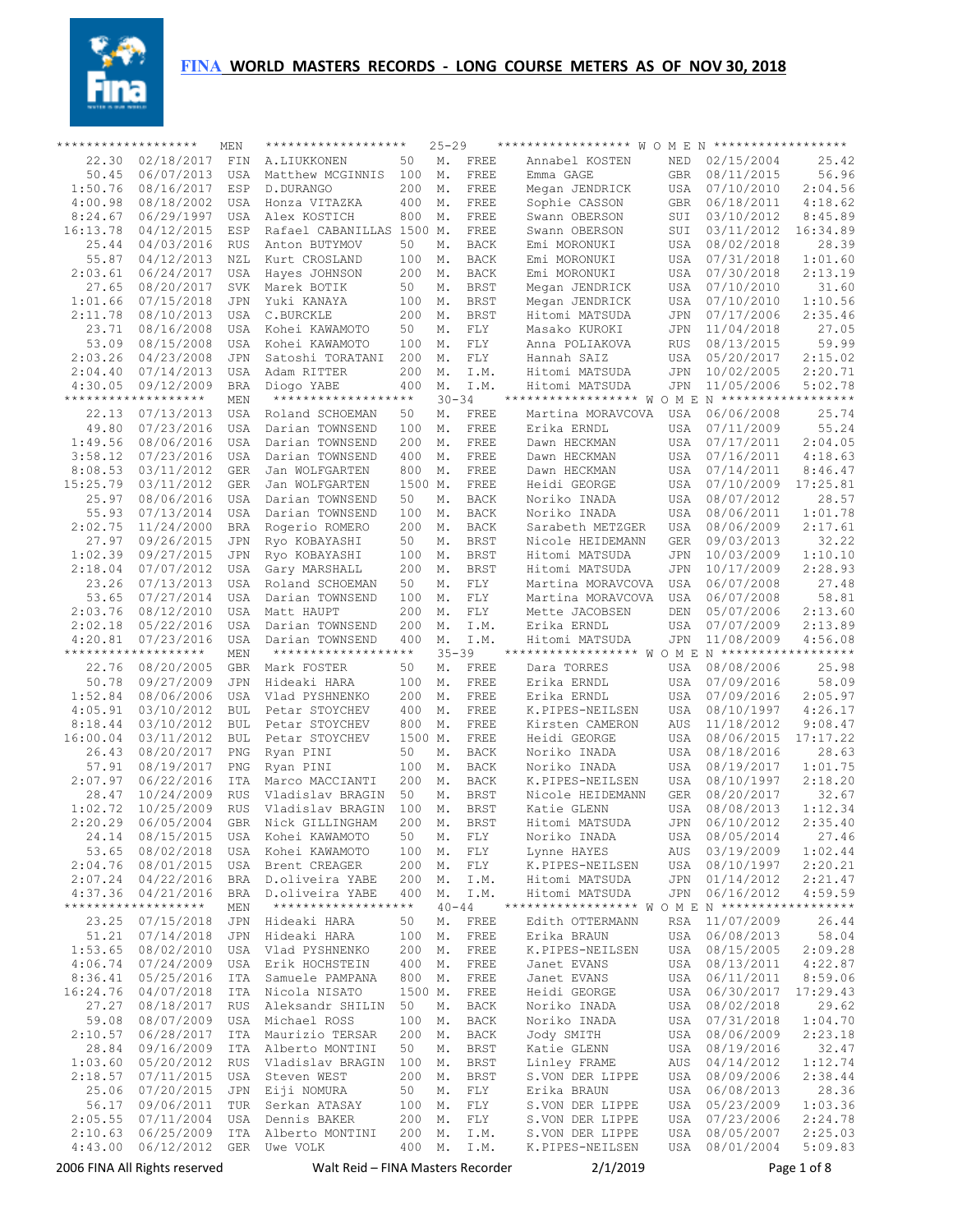**FINA** WORLD MASTERS RECORDS - LONG COURSE METERS AS OF NOV 30, 2018



| ******************* |                                   | MEN                      | *******************                    |            | $25 - 29$       |                            | ****************** W O M E N *******************                   |                          |                          |                    |
|---------------------|-----------------------------------|--------------------------|----------------------------------------|------------|-----------------|----------------------------|--------------------------------------------------------------------|--------------------------|--------------------------|--------------------|
| 22.30               | 02/18/2017                        | FIN                      | A.LIUKKONEN                            | 50         | Μ.              | FREE                       | Annabel KOSTEN                                                     | <b>NED</b>               | 02/15/2004               | 25.42              |
| 50.45               | 06/07/2013                        | <b>USA</b>               | Matthew MCGINNIS                       | 100        | Μ.              | FREE                       | Emma GAGE                                                          | <b>GBR</b>               | 08/11/2015               | 56.96              |
| 1:50.76             | 08/16/2017                        | ESP                      | D.DURANGO                              | 200        | Μ.              | FREE                       | Megan JENDRICK                                                     | <b>USA</b>               | 07/10/2010               | 2:04.56            |
| 4:00.98<br>8:24.67  | 08/18/2002<br>06/29/1997          | <b>USA</b><br><b>USA</b> | Honza VITAZKA<br>Alex KOSTICH          | 400<br>800 | Μ.<br>Μ.        | FREE<br>FREE               | Sophie CASSON<br>Swann OBERSON                                     | <b>GBR</b><br>SUI        | 06/18/2011<br>03/10/2012 | 4:18.62<br>8:45.89 |
| 16:13.78            | 04/12/2015                        | ESP                      | Rafael CABANILLAS                      | 1500 M.    |                 | FREE                       | Swann OBERSON                                                      | SUI                      | 03/11/2012               | 16:34.89           |
| 25.44               | 04/03/2016                        | <b>RUS</b>               | Anton BUTYMOV                          | 50         | Μ.              | <b>BACK</b>                | Emi MORONUKI                                                       | <b>USA</b>               | 08/02/2018               | 28.39              |
| 55.87               | 04/12/2013                        | NZL                      | Kurt CROSLAND                          | 100        | Μ.              | <b>BACK</b>                | Emi MORONUKI                                                       | USA                      | 07/31/2018               | 1:01.60            |
| 2:03.61             | 06/24/2017                        | <b>USA</b>               | Hayes JOHNSON                          | 200        | Μ.              | <b>BACK</b>                | Emi MORONUKI                                                       | <b>USA</b>               | 07/30/2018               | 2:13.19            |
| 27.65               | 08/20/2017                        | <b>SVK</b>               | Marek BOTIK                            | 50         | Μ.              | <b>BRST</b>                | Megan JENDRICK                                                     | USA                      | 07/10/2010               | 31.60              |
| 1:01.66             | 07/15/2018                        | <b>JPN</b>               | Yuki KANAYA                            | 100        | Μ.              | <b>BRST</b>                | Megan JENDRICK                                                     | <b>USA</b>               | 07/10/2010               | 1:10.56            |
| 2:11.78             | 08/10/2013                        | <b>USA</b>               | C.BURCKLE                              | 200        | Μ.              | <b>BRST</b>                | Hitomi MATSUDA                                                     | JPN                      | 07/17/2006               | 2:35.46            |
| 23.71               | 08/16/2008                        | <b>USA</b>               | Kohei KAWAMOTO                         | 50         | Μ.              | FLY                        | Masako KUROKI                                                      | JPN                      | 11/04/2018               | 27.05              |
| 53.09               | 08/15/2008                        | <b>USA</b>               | Kohei KAWAMOTO                         | 100        | Μ.              | FLY                        | Anna POLIAKOVA                                                     | <b>RUS</b>               | 08/13/2015               | 59.99              |
| 2:03.26             | 04/23/2008                        | <b>JPN</b>               | Satoshi TORATANI                       | 200        | Μ.              | FLY                        | Hannah SAIZ                                                        | USA                      | 05/20/2017               | 2:15.02            |
| 2:04.40<br>4:30.05  | 07/14/2013<br>09/12/2009          | USA<br><b>BRA</b>        | Adam RITTER                            | 200<br>400 | Μ.<br>Μ.        | I.M.<br>I.M.               | Hitomi MATSUDA                                                     | JPN<br>JPN               | 10/02/2005<br>11/05/2006 | 2:20.71<br>5:02.78 |
|                     | *******************               | MEN                      | Diogo YABE<br>*******************      |            | $30 - 34$       |                            | Hitomi MATSUDA<br>****************** W O M E N ******************* |                          |                          |                    |
| 22.13               | 07/13/2013                        | <b>USA</b>               | Roland SCHOEMAN                        | 50         | Μ.              | FREE                       | Martina MORAVCOVA                                                  | USA                      | 06/06/2008               | 25.74              |
| 49.80               | 07/23/2016                        | <b>USA</b>               | Darian TOWNSEND                        | 100        | Μ.              | FREE                       | Erika ERNDL                                                        | USA                      | 07/11/2009               | 55.24              |
| 1:49.56             | 08/06/2016                        | <b>USA</b>               | Darian TOWNSEND                        | 200        | Μ.              | FREE                       | Dawn HECKMAN                                                       | USA                      | 07/17/2011               | 2:04.05            |
| 3:58.12             | 07/23/2016                        | <b>USA</b>               | Darian TOWNSEND                        | 400        | Μ.              | FREE                       | Dawn HECKMAN                                                       | USA                      | 07/16/2011               | 4:18.63            |
| 8:08.53             | 03/11/2012                        | <b>GER</b>               | Jan WOLFGARTEN                         | 800        | Μ.              | FREE                       | Dawn HECKMAN                                                       | USA                      | 07/14/2011               | 8:46.47            |
| 15:25.79            | 03/11/2012                        | <b>GER</b>               | Jan WOLFGARTEN                         | 1500 M.    |                 | FREE                       | Heidi GEORGE                                                       | USA                      | 07/10/2009               | 17:25.81           |
| 25.97               | 08/06/2016                        | <b>USA</b>               | Darian TOWNSEND                        | 50         | Μ.              | <b>BACK</b>                | Noriko INADA                                                       | <b>USA</b>               | 08/07/2012               | 28.57              |
| 55.93               | 07/13/2014                        | <b>USA</b>               | Darian TOWNSEND                        | 100        | Μ.              | <b>BACK</b>                | Noriko INADA                                                       | <b>USA</b>               | 08/06/2011               | 1:01.78            |
| 2:02.75             | 11/24/2000                        | <b>BRA</b>               | Rogerio ROMERO                         | 200        | Μ.              | <b>BACK</b>                | Sarabeth METZGER                                                   | <b>USA</b>               | 08/06/2009               | 2:17.61            |
| 27.97               | 09/26/2015                        | <b>JPN</b>               | Ryo KOBAYASHI                          | 50         | Μ.              | <b>BRST</b>                | Nicole HEIDEMANN                                                   | <b>GER</b>               | 09/03/2013               | 32.22              |
| 1:02.39<br>2:18.04  | 09/27/2015<br>07/07/2012          | <b>JPN</b><br>USA        | Ryo KOBAYASHI<br>Gary MARSHALL         | 100<br>200 | Μ.<br>Μ.        | <b>BRST</b><br><b>BRST</b> | Hitomi MATSUDA<br>Hitomi MATSUDA                                   | <b>JPN</b><br><b>JPN</b> | 10/03/2009<br>10/17/2009 | 1:10.10<br>2:28.93 |
| 23.26               | 07/13/2013                        | <b>USA</b>               | Roland SCHOEMAN                        | 50         | Μ.              | FLY                        | Martina MORAVCOVA                                                  | <b>USA</b>               | 06/07/2008               | 27.48              |
| 53.65               | 07/27/2014                        | <b>USA</b>               | Darian TOWNSEND                        | 100        | Μ.              | FLY                        | Martina MORAVCOVA                                                  | <b>USA</b>               | 06/07/2008               | 58.81              |
| 2:03.76             | 08/12/2010                        | <b>USA</b>               | Matt HAUPT                             | 200        | Μ.              | FLY                        | Mette JACOBSEN                                                     | DEN                      | 05/07/2006               | 2:13.60            |
| 2:02.18             | 05/22/2016                        | <b>USA</b>               | Darian TOWNSEND                        | 200        | Μ.              | I.M.                       | Erika ERNDL                                                        | <b>USA</b>               | 07/07/2009               | 2:13.89            |
| 4:20.81             | 07/23/2016                        | <b>USA</b>               | Darian TOWNSEND                        | 400        | Μ.              | I.M.                       | Hitomi MATSUDA                                                     | JPN                      | 11/08/2009               | 4:56.08            |
|                     | *******************               | MEN                      | *******************                    |            | $35 - 39$       |                            | ****************** W O M E N ******************                    |                          |                          |                    |
| 22.76               | 08/20/2005                        | <b>GBR</b>               | Mark FOSTER                            | 50         | Μ.              | FREE                       | Dara TORRES                                                        | USA                      | 08/08/2006               | 25.98              |
| 50.78               | 09/27/2009                        | <b>JPN</b>               | Hideaki HARA                           | 100        | Μ.              | FREE                       | Erika ERNDL                                                        | <b>USA</b>               | 07/09/2016               | 58.09              |
| 1:52.84             | 08/06/2006                        | <b>USA</b>               | Vlad PYSHNENKO                         | 200        | Μ.              | FREE                       | Erika ERNDL                                                        | USA                      | 07/09/2016               | 2:05.97            |
| 4:05.91<br>8:18.44  | 03/10/2012<br>03/10/2012          | <b>BUL</b>               | Petar STOYCHEV                         | 400<br>800 | Μ.              | FREE<br>FREE               | K.PIPES-NEILSEN                                                    | USA                      | 08/10/1997               | 4:26.17<br>9:08.47 |
| 16:00.04            | 03/11/2012                        | <b>BUL</b><br>BUL        | Petar STOYCHEV<br>Petar STOYCHEV       | 1500 M.    | Μ.              | FREE                       | Kirsten CAMERON<br>Heidi GEORGE                                    | AUS<br>USA               | 11/18/2012<br>08/06/2015 | 17:17.22           |
| 26.43               | 08/20/2017                        | PNG                      | Ryan PINI                              | 50         | Μ.              | <b>BACK</b>                | Noriko INADA                                                       | USA                      | 08/18/2016               | 28.63              |
| 57.91               | 08/19/2017                        | PNG                      | Ryan PINI                              | 100        | М.              | <b>BACK</b>                | Noriko INADA                                                       | <b>USA</b>               | 08/19/2017               | 1:01.75            |
| 2:07.97             | 06/22/2016                        | ITA                      | Marco MACCIANTI                        | 200        | Μ.              | <b>BACK</b>                | K.PIPES-NEILSEN                                                    | USA                      | 08/10/1997               | 2:18.20            |
| 28.47               | 10/24/2009                        | <b>RUS</b>               | Vladislav BRAGIN                       | 50         | Μ.              | <b>BRST</b>                | Nicole HEIDEMANN                                                   | <b>GER</b>               | 08/20/2017               | 32.67              |
| 1:02.72             | 10/25/2009                        | <b>RUS</b>               | Vladislav BRAGIN                       | 100        | Μ.              | <b>BRST</b>                | Katie GLENN                                                        | USA                      | 08/08/2013               | 1:12.34            |
| 2:20.29             | 06/05/2004                        | <b>GBR</b>               | Nick GILLINGHAM                        | 200        | Μ.              | <b>BRST</b>                | Hitomi MATSUDA                                                     | <b>JPN</b>               | 06/10/2012               | 2:35.40            |
| 24.14               | 08/15/2015                        | USA                      | Kohei KAWAMOTO                         | 50         | М.              | FLY                        | Noriko INADA                                                       | USA                      | 08/05/2014               | 27.46              |
| 53.65               | 08/02/2018                        | USA                      | Kohei KAWAMOTO                         | 100        | М.              | FLY                        | Lynne HAYES                                                        | AUS                      | 03/19/2009               | 1:02.44            |
| 2:04.76             | 08/01/2015                        | USA                      | Brent CREAGER                          | 200        | Μ.              | FLY                        | K.PIPES-NEILSEN                                                    | USA                      | 08/10/1997               | 2:20.21            |
| 2:07.24<br>4:37.36  | 04/22/2016                        | BRA                      | D.oliveira YABE                        | 200<br>400 | М.              | I.M.                       | Hitomi MATSUDA                                                     | JPN                      | 01/14/2012               | 2:21.47            |
|                     | 04/21/2016<br>******************* | BRA<br>MEN               | D.oliveira YABE<br>******************* |            | Μ.<br>$40 - 44$ | I.M.                       | Hitomi MATSUDA                                                     | JPN                      | 06/16/2012               | 4:59.59            |
| 23.25               | 07/15/2018                        | JPN                      | Hideaki HARA                           | 50         | М.              | FREE                       | Edith OTTERMANN                                                    | RSA                      | 11/07/2009               | 26.44              |
| 51.21               | 07/14/2018                        | JPN                      | Hideaki HARA                           | 100        | Μ.              | FREE                       | Erika BRAUN                                                        | USA                      | 06/08/2013               | 58.04              |
| 1:53.65             | 08/02/2010                        | USA                      | Vlad PYSHNENKO                         | 200        | Μ.              | FREE                       | K.PIPES-NEILSEN                                                    | USA                      | 08/15/2005               | 2:09.28            |
| 4:06.74             | 07/24/2009                        | USA                      | Erik HOCHSTEIN                         | 400        | М.              | FREE                       | Janet EVANS                                                        | USA                      | 08/13/2011               | 4:22.87            |
| 8:36.41             | 05/25/2016                        | ITA                      | Samuele PAMPANA                        | 800        | Μ.              | FREE                       | Janet EVANS                                                        | USA                      | 06/11/2011               | 8:59.06            |
| 16:24.76            | 04/07/2018                        | ITA                      | Nicola NISATO                          | 1500 M.    |                 | FREE                       | Heidi GEORGE                                                       | USA                      | 06/30/2017               | 17:29.43           |
| 27.27               | 08/18/2017                        | RUS                      | Aleksandr SHILIN                       | 50         | Μ.              | BACK                       | Noriko INADA                                                       | USA                      | 08/02/2018               | 29.62              |
| 59.08               | 08/07/2009                        | USA                      | Michael ROSS                           | 100        | М.              | BACK                       | Noriko INADA                                                       | USA                      | 07/31/2018               | 1:04.70            |
| 2:10.57             | 06/28/2017                        | ITA                      | Maurizio TERSAR                        | 200        | Μ.              | BACK                       | Jody SMITH                                                         | USA                      | 08/06/2009               | 2:23.18            |
| 28.84<br>1:03.60    | 09/16/2009<br>05/20/2012          | ITA<br>RUS               | Alberto MONTINI<br>Vladislav BRAGIN    | 50<br>100  | М.<br>М.        | BRST<br>BRST               | Katie GLENN<br>Linley FRAME                                        | USA<br>AUS               | 08/19/2016<br>04/14/2012 | 32.47<br>1:12.74   |
| 2:18.57             | 07/11/2015                        | USA                      | Steven WEST                            | 200        | М.              | BRST                       | S.VON DER LIPPE                                                    | USA                      | 08/09/2006               | 2:38.44            |
| 25.06               | 07/20/2015                        | JPN                      | Eiji NOMURA                            | 50         | Μ.              | FLY                        | Erika BRAUN                                                        | USA                      | 06/08/2013               | 28.36              |
| 56.17               | 09/06/2011                        | TUR                      | Serkan ATASAY                          | 100        | М.              | FLY                        | S.VON DER LIPPE                                                    | USA                      | 05/23/2009               | 1:03.36            |
| 2:05.55             | 07/11/2004                        | USA                      | Dennis BAKER                           | 200        | Μ.              | ${\rm FLY}$                | S.VON DER LIPPE                                                    | USA                      | 07/23/2006               | 2:24.78            |
| 2:10.63             | 06/25/2009                        | ITA                      | Alberto MONTINI                        | 200        | М.              | I.M.                       | S.VON DER LIPPE                                                    | USA                      | 08/05/2007               | 2:25.03            |
| 4:43.00             | 06/12/2012                        | GER                      | Uwe VOLK                               | 400        | Μ.              | I.M.                       | K.PIPES-NEILSEN                                                    | USA                      | 08/01/2004               | 5:09.83            |
|                     | 2006 FINA All Rights reserved     |                          | Walt Reid – FINA Masters Recorder      |            |                 |                            | 2/1/2019                                                           |                          |                          | Page 1 of 8        |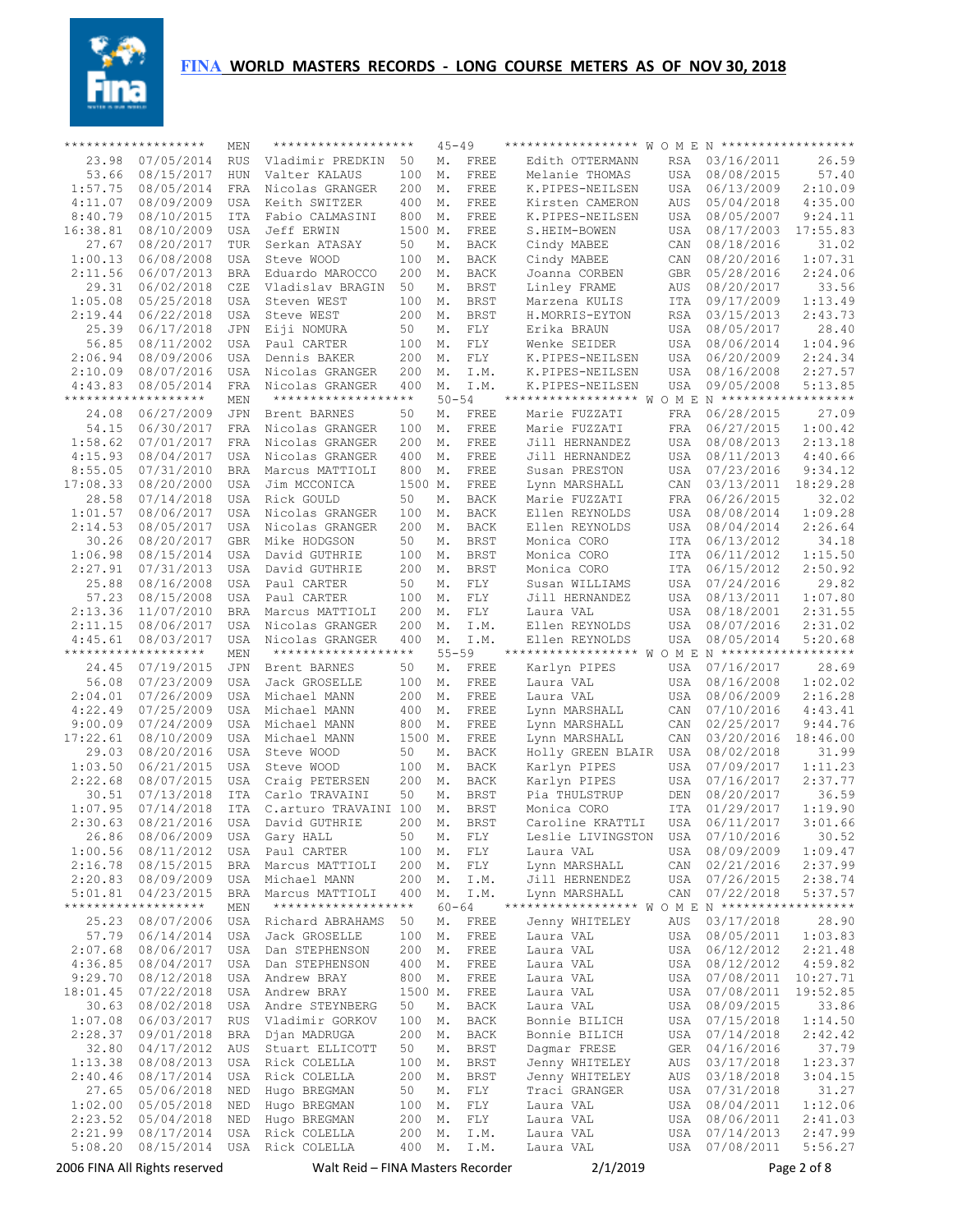

|                    | *******************           | <b>MEN</b>               | *******************               |               | $45 - 49$     |                            | ****************** W O M E N ******************  |                   |                          |                    |
|--------------------|-------------------------------|--------------------------|-----------------------------------|---------------|---------------|----------------------------|--------------------------------------------------|-------------------|--------------------------|--------------------|
| 23.98              | 07/05/2014                    | <b>RUS</b>               | Vladimir PREDKIN                  | 50            | Μ.            | FREE                       | Edith OTTERMANN                                  | <b>RSA</b>        | 03/16/2011               | 26.59              |
| 53.66              | 08/15/2017                    | HUN                      | Valter KALAUS                     | 100           | Μ.            | FREE                       | Melanie THOMAS                                   | USA               | 08/08/2015               | 57.40              |
| 1:57.75            | 08/05/2014                    | FRA                      | Nicolas GRANGER                   | 200           | Μ.            | FREE                       | K.PIPES-NEILSEN                                  | USA               | 06/13/2009               | 2:10.09            |
| 4:11.07            | 08/09/2009                    | USA                      | Keith SWITZER                     | 400           | Μ.            | FREE                       | Kirsten CAMERON                                  | AUS               | 05/04/2018               | 4:35.00            |
| 8:40.79            | 08/10/2015                    | ITA                      | Fabio CALMASINI<br>Jeff ERWIN     | 800           | Μ.            | FREE                       | K.PIPES-NEILSEN                                  | USA               | 08/05/2007<br>08/17/2003 | 9:24.11            |
| 16:38.81<br>27.67  | 08/10/2009<br>08/20/2017      | <b>USA</b><br><b>TUR</b> | Serkan ATASAY                     | 1500 M.<br>50 | М.            | FREE<br><b>BACK</b>        | S.HEIM-BOWEN<br>Cindy MABEE                      | USA<br>CAN        | 08/18/2016               | 17:55.83<br>31.02  |
| 1:00.13            | 06/08/2008                    | <b>USA</b>               | Steve WOOD                        | 100           | Μ.            | <b>BACK</b>                | Cindy MABEE                                      | CAN               | 08/20/2016               | 1:07.31            |
| 2:11.56            | 06/07/2013                    | <b>BRA</b>               | Eduardo MAROCCO                   | 200           | Μ.            | <b>BACK</b>                | Joanna CORBEN                                    | <b>GBR</b>        | 05/28/2016               | 2:24.06            |
| 29.31              | 06/02/2018                    | CZE                      | Vladislav BRAGIN                  | 50            | М.            | <b>BRST</b>                | Linley FRAME                                     | AUS               | 08/20/2017               | 33.56              |
| 1:05.08            | 05/25/2018                    | <b>USA</b>               | Steven WEST                       | 100           | Μ.            | <b>BRST</b>                | Marzena KULIS                                    | ITA               | 09/17/2009               | 1:13.49            |
| 2:19.44            | 06/22/2018                    | <b>USA</b>               | Steve WEST                        | 200           | Μ.            | <b>BRST</b>                | H.MORRIS-EYTON                                   | <b>RSA</b>        | 03/15/2013               | 2:43.73            |
| 25.39              | 06/17/2018                    | <b>JPN</b>               | Eiji NOMURA                       | 50            | Μ.            | FLY                        | Erika BRAUN                                      | <b>USA</b>        | 08/05/2017               | 28.40              |
| 56.85              | 08/11/2002                    | <b>USA</b>               | Paul CARTER                       | 100           | Μ.            | FLY                        | Wenke SEIDER                                     | USA               | 08/06/2014               | 1:04.96            |
| 2:06.94            | 08/09/2006                    | <b>USA</b>               | Dennis BAKER                      | 200           | Μ.            | FLY                        | K.PIPES-NEILSEN                                  | <b>USA</b>        | 06/20/2009               | 2:24.34            |
| 2:10.09            | 08/07/2016                    | <b>USA</b>               | Nicolas GRANGER                   | 200           | Μ.            | I.M.                       | K.PIPES-NEILSEN                                  | <b>USA</b>        | 08/16/2008               | 2:27.57            |
| 4:43.83            | 08/05/2014                    | FRA                      | Nicolas GRANGER                   | 400           | Μ.            | I.M.                       | K.PIPES-NEILSEN                                  | <b>USA</b>        | 09/05/2008               | 5:13.85            |
|                    | *******************           | MEN                      | *******************               |               | $50 - 54$     |                            | ****************** W O M E N ******************* |                   |                          |                    |
| 24.08              | 06/27/2009                    | <b>JPN</b>               | Brent BARNES                      | 50            | Μ.            | FREE                       | Marie FUZZATI                                    | <b>FRA</b>        | 06/28/2015               | 27.09              |
| 54.15              | 06/30/2017                    | <b>FRA</b>               | Nicolas GRANGER                   | 100           | Μ.            | FREE                       | Marie FUZZATI                                    | FRA               | 06/27/2015               | 1:00.42            |
| 1:58.62            | 07/01/2017                    | <b>FRA</b>               | Nicolas GRANGER                   | 200           | Μ.            | FREE                       | Jill HERNANDEZ                                   | <b>USA</b>        | 08/08/2013               | 2:13.18            |
| 4:15.93            | 08/04/2017                    | <b>USA</b>               | Nicolas GRANGER                   | 400           | Μ.            | FREE                       | Jill HERNANDEZ                                   | USA               | 08/11/2013               | 4:40.66            |
| 8:55.05            | 07/31/2010                    | <b>BRA</b>               | Marcus MATTIOLI                   | 800           | Μ.            | FREE                       | Susan PRESTON                                    | <b>USA</b>        | 07/23/2016               | 9:34.12            |
| 17:08.33           | 08/20/2000                    | <b>USA</b>               | Jim MCCONICA                      | 1500 M.       |               | FREE                       | Lynn MARSHALL<br>Marie FUZZATI                   | CAN               | 03/13/2011<br>06/26/2015 | 18:29.28<br>32.02  |
| 28.58<br>1:01.57   | 07/14/2018<br>08/06/2017      | <b>USA</b><br><b>USA</b> | Rick GOULD<br>Nicolas GRANGER     | 50<br>100     | М.<br>Μ.      | <b>BACK</b>                | Ellen REYNOLDS                                   | FRA<br>USA        | 08/08/2014               | 1:09.28            |
| 2:14.53            | 08/05/2017                    | USA                      | Nicolas GRANGER                   | 200           | М.            | BACK<br><b>BACK</b>        | Ellen REYNOLDS                                   | <b>USA</b>        | 08/04/2014               | 2:26.64            |
| 30.26              | 08/20/2017                    | <b>GBR</b>               | Mike HODGSON                      | 50            | М.            | <b>BRST</b>                | Monica CORO                                      | ITA               | 06/13/2012               | 34.18              |
| 1:06.98            | 08/15/2014                    | USA                      | David GUTHRIE                     | 100           | М.            | <b>BRST</b>                | Monica CORO                                      | <b>ITA</b>        | 06/11/2012               | 1:15.50            |
| 2:27.91            | 07/31/2013                    | USA                      | David GUTHRIE                     | 200           | М.            | BRST                       | Monica CORO                                      | ITA               | 06/15/2012               | 2:50.92            |
| 25.88              | 08/16/2008                    | <b>USA</b>               | Paul CARTER                       | 50            | М.            | FLY                        | Susan WILLIAMS                                   | <b>USA</b>        | 07/24/2016               | 29.82              |
| 57.23              | 08/15/2008                    | USA                      | Paul CARTER                       | 100           | Μ.            | FLY                        | Jill HERNANDEZ                                   | USA               | 08/13/2011               | 1:07.80            |
| 2:13.36            | 11/07/2010                    | <b>BRA</b>               | Marcus MATTIOLI                   | 200           | Μ.            | FLY                        | Laura VAL                                        | <b>USA</b>        | 08/18/2001               | 2:31.55            |
| 2:11.15            | 08/06/2017                    | USA                      | Nicolas GRANGER                   | 200           | Μ.            | I.M.                       | Ellen REYNOLDS                                   | USA               | 08/07/2016               | 2:31.02            |
| 4:45.61            | 08/03/2017                    | USA                      | Nicolas GRANGER                   | 400           | Μ.            | I.M.                       | Ellen REYNOLDS                                   | USA               | 08/05/2014               | 5:20.68            |
|                    | *******************           | MEN                      | *******************               |               | $55 - 59$     |                            | ****************** W O M E N ******************* |                   |                          |                    |
| 24.45              | 07/19/2015                    | <b>JPN</b>               | Brent BARNES                      | 50            | Μ.            | FREE                       | Karlyn PIPES                                     | USA               | 07/16/2017               | 28.69              |
| 56.08              | 07/23/2009                    | <b>USA</b>               | Jack GROSELLE                     | 100           | Μ.            | FREE                       | Laura VAL                                        | USA               | 08/16/2008               | 1:02.02            |
| 2:04.01            | 07/26/2009                    | <b>USA</b>               | Michael MANN                      | 200           | Μ.            | FREE                       | Laura VAL                                        | <b>USA</b>        | 08/06/2009               | 2:16.28            |
| 4:22.49            | 07/25/2009                    | <b>USA</b>               | Michael MANN                      | 400           | Μ.            | FREE                       | Lynn MARSHALL                                    | CAN               | 07/10/2016               | 4:43.41            |
| 9:00.09            | 07/24/2009                    | <b>USA</b>               | Michael MANN                      | 800           | Μ.            | FREE                       | Lynn MARSHALL                                    | CAN               | 02/25/2017               | 9:44.76            |
| 17:22.61           | 08/10/2009                    | USA                      | Michael MANN                      | 1500 M.       |               | FREE                       | Lynn MARSHALL                                    | CAN               | 03/20/2016               | 18:46.00           |
| 29.03<br>1:03.50   | 08/20/2016<br>06/21/2015      | USA<br>USA               | Steve WOOD<br>Steve WOOD          | 50<br>100     | М.<br>Μ.      | <b>BACK</b><br><b>BACK</b> | Holly GREEN BLAIR                                | USA<br><b>USA</b> | 08/02/2018<br>07/09/2017 | 31.99<br>1:11.23   |
| 2:22.68            | 08/07/2015                    | USA                      | Craig PETERSEN                    | 200           | Μ.            | <b>BACK</b>                | Karlyn PIPES<br>Karlyn PIPES                     | USA               | 07/16/2017               | 2:37.77            |
| 30.51              | 07/13/2018                    | ITA                      | Carlo TRAVAINI                    | 50            | М.            | <b>BRST</b>                | Pia THULSTRUP                                    | DEN               | 08/20/2017               | 36.59              |
| 1:07.95            | 07/14/2018                    | ITA                      | C.arturo TRAVAINI 100             |               | Μ.            | <b>BRST</b>                | Monica CORO                                      | ITA               | 01/29/2017               | 1:19.90            |
| 2:30.63            | 08/21/2016                    | <b>USA</b>               | David GUTHRIE                     | 200           | Μ.            | <b>BRST</b>                | Caroline KRATTLI                                 | <b>USA</b>        | 06/11/2017               | 3:01.66            |
|                    | 26.86 08/06/2009              |                          | USA Gary HALL                     | 50            | $\mathbb M$ . | ${\rm FLY}$                | Leslie LIVINGSTON                                |                   | USA 07/10/2016           | 30.52              |
| 1:00.56            | 08/11/2012                    |                          | USA Paul CARTER                   | 100           | М.            | FLY                        | Laura VAL                                        | USA               | 08/09/2009               | 1:09.47            |
| 2:16.78            | 08/15/2015                    | BRA                      | Marcus MATTIOLI                   | 200           | М.            | FLY                        | Lynn MARSHALL                                    | CAN               | 02/21/2016               | 2:37.99            |
| 2:20.83            | 08/09/2009                    | USA                      | Michael MANN                      | 200           | М.            | I.M.                       | Jill HERNENDEZ                                   | USA               | 07/26/2015               | 2:38.74            |
| 5:01.81            | 04/23/2015                    | BRA                      | Marcus MATTIOLI                   | 400           | М.            | I.M.                       | Lynn MARSHALL                                    | CAN               | 07/22/2018               | 5:37.57            |
|                    | *******************           | MEN                      | *******************               |               | $60 - 64$     |                            |                                                  |                   |                          |                    |
| 25.23              | 08/07/2006                    | USA                      | Richard ABRAHAMS                  | 50            | М.            | FREE                       | Jenny WHITELEY                                   | AUS               | 03/17/2018               | 28.90              |
| 57.79              | 06/14/2014                    | USA                      | Jack GROSELLE                     | 100           | М.            | FREE                       | Laura VAL                                        | USA               | 08/05/2011               | 1:03.83            |
| 2:07.68            | 08/06/2017                    | USA                      | Dan STEPHENSON                    | 200           | М.            | FREE                       | Laura VAL                                        | USA               | 06/12/2012               | 2:21.48            |
| 4:36.85            | 08/04/2017                    | USA                      | Dan STEPHENSON                    | 400           | М.            | FREE                       | Laura VAL                                        | USA               | 08/12/2012               | 4:59.82            |
| 9:29.70            | 08/12/2018                    | USA                      | Andrew BRAY                       | 800           | М.            | FREE                       | Laura VAL                                        | USA               | 07/08/2011               | 10:27.71           |
| 18:01.45           | 07/22/2018                    | USA                      | Andrew BRAY                       | 1500 M.       |               | FREE                       | Laura VAL                                        | USA               | 07/08/2011               | 19:52.85           |
| 30.63              | 08/02/2018                    | USA                      | Andre STEYNBERG                   | 50            | М.            | BACK                       | Laura VAL                                        | USA               | 08/09/2015               | 33.86              |
| 1:07.08<br>2:28.37 | 06/03/2017<br>09/01/2018      | RUS<br>BRA               | Vladimir GORKOV<br>Djan MADRUGA   | 100<br>200    | М.<br>М.      | $_{\rm BACK}$<br>BACK      | Bonnie BILICH<br>Bonnie BILICH                   | USA<br>USA        | 07/15/2018<br>07/14/2018 | 1:14.50<br>2:42.42 |
| 32.80              | 04/17/2012                    | AUS                      | Stuart ELLICOTT                   | 50            | М.            | BRST                       | Dagmar FRESE                                     | GER               | 04/16/2016               | 37.79              |
| 1:13.38            | 08/08/2013                    | USA                      | Rick COLELLA                      | 100           | М.            | BRST                       | Jenny WHITELEY                                   | AUS               | 03/17/2018               | 1:23.37            |
| 2:40.46            | 08/17/2014                    | USA                      | Rick COLELLA                      | 200           | М.            | BRST                       | Jenny WHITELEY                                   | AUS               | 03/18/2018               | 3:04.15            |
| 27.65              | 05/06/2018                    | NED                      | Hugo BREGMAN                      | 50            | М.            | FLY                        | Traci GRANGER                                    | USA               | 07/31/2018               | 31.27              |
| 1:02.00            | 05/05/2018                    | NED                      | Hugo BREGMAN                      | 100           | М.            | FLY                        | Laura VAL                                        | USA               | 08/04/2011               | 1:12.06            |
| 2:23.52            | 05/04/2018                    | NED                      | Hugo BREGMAN                      | 200           | М.            | FLY                        | Laura VAL                                        | USA               | 08/06/2011               | 2:41.03            |
| 2:21.99            | 08/17/2014                    | USA                      | Rick COLELLA                      | 200           | М.            | I.M.                       | Laura VAL                                        | USA               | 07/14/2013               | 2:47.99            |
| 5:08.20            | 08/15/2014                    | USA                      | Rick COLELLA                      | 400           | Μ.            | I.M.                       | Laura VAL                                        | USA               | 07/08/2011               | 5:56.27            |
|                    | 2006 FINA All Rights reserved |                          | Walt Reid – FINA Masters Recorder |               |               |                            | 2/1/2019                                         |                   |                          | Page 2 of 8        |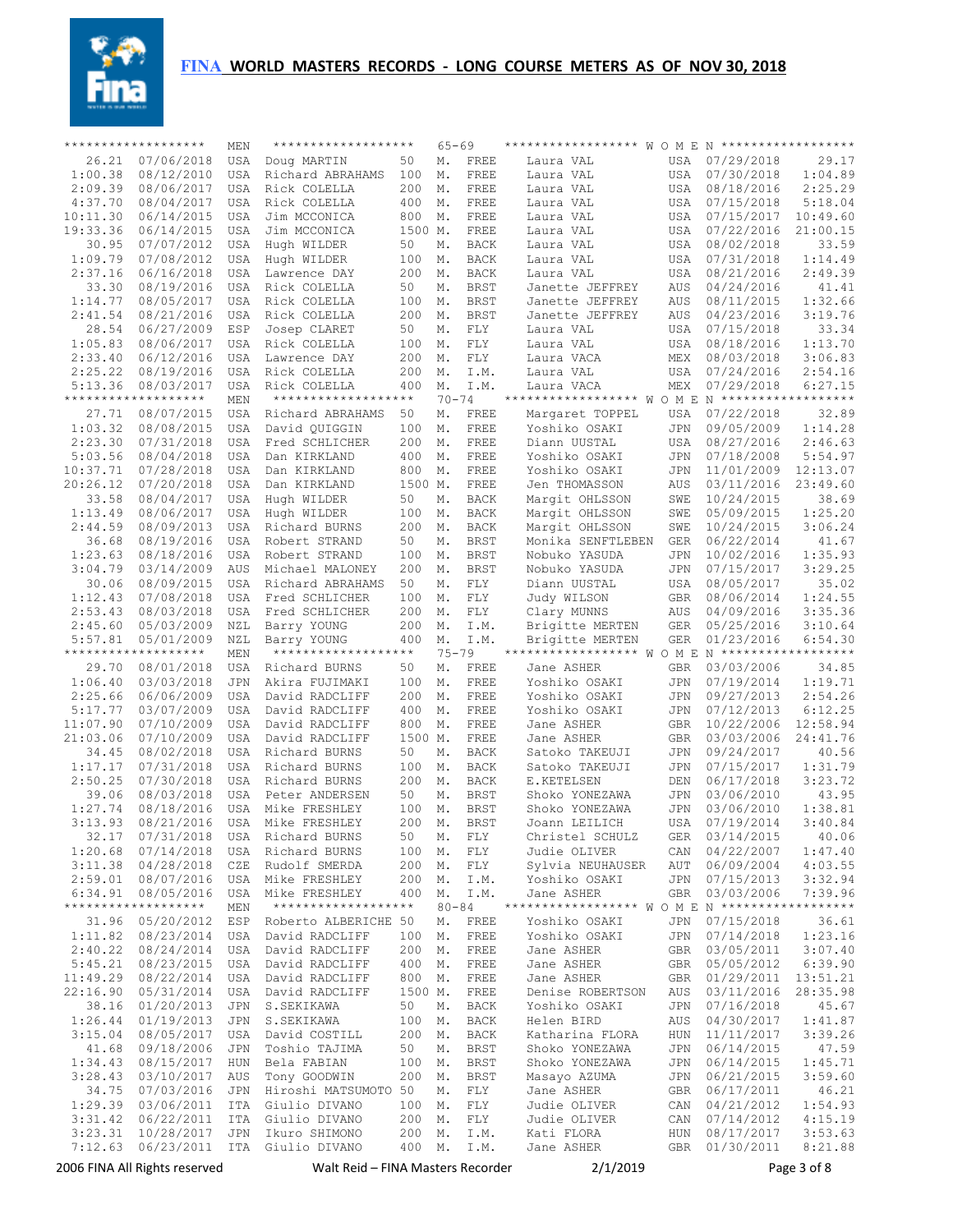

|                  | *******************           | MEN               | *******************                 |            | $65 - 69$     |                            | ****************** W O M E N ******************* |             |                          |                    |
|------------------|-------------------------------|-------------------|-------------------------------------|------------|---------------|----------------------------|--------------------------------------------------|-------------|--------------------------|--------------------|
| 26.21            | 07/06/2018                    | USA               | Doug MARTIN                         | 50         | Μ.            | FREE                       | Laura VAL                                        | <b>USA</b>  | 07/29/2018               | 29.17              |
| 1:00.38          | 08/12/2010                    | <b>USA</b>        | Richard ABRAHAMS                    | 100        | Μ.            | FREE                       | Laura VAL                                        | USA         | 07/30/2018               | 1:04.89            |
| 2:09.39          | 08/06/2017                    | <b>USA</b>        | Rick COLELLA                        | 200        | Μ.            | FREE                       | Laura VAL                                        | USA         | 08/18/2016               | 2:25.29            |
| 4:37.70          | 08/04/2017                    | USA               | Rick COLELLA                        | 400        | М.            | FREE                       | Laura VAL                                        | USA         | 07/15/2018               | 5:18.04            |
| 10:11.30         | 06/14/2015                    | <b>USA</b>        | Jim MCCONICA                        | 800        | Μ.            | FREE                       | Laura VAL                                        | USA         | 07/15/2017               | 10:49.60           |
| 19:33.36         | 06/14/2015                    | <b>USA</b>        | Jim MCCONICA                        | 1500 M.    |               | FREE                       | Laura VAL                                        | USA         | 07/22/2016               | 21:00.15           |
| 30.95            | 07/07/2012                    | <b>USA</b>        | Hugh WILDER                         | 50         | М.            | <b>BACK</b>                | Laura VAL                                        | <b>USA</b>  | 08/02/2018               | 33.59              |
| 1:09.79          | 07/08/2012                    | USA               | Hugh WILDER                         | 100        | Μ.            | <b>BACK</b>                | Laura VAL                                        | USA         | 07/31/2018               | 1:14.49            |
| 2:37.16          | 06/16/2018                    | <b>USA</b>        | Lawrence DAY                        | 200        | М.            | <b>BACK</b>                | Laura VAL                                        | <b>USA</b>  | 08/21/2016               | 2:49.39            |
| 33.30<br>1:14.77 | 08/19/2016<br>08/05/2017      | USA<br><b>USA</b> | Rick COLELLA<br>Rick COLELLA        | 50<br>100  | М.<br>М.      | <b>BRST</b><br><b>BRST</b> | Janette JEFFREY<br>Janette JEFFREY               | AUS<br>AUS  | 04/24/2016<br>08/11/2015 | 41.41<br>1:32.66   |
| 2:41.54          | 08/21/2016                    | <b>USA</b>        | Rick COLELLA                        | 200        | Μ.            | <b>BRST</b>                | Janette JEFFREY                                  | AUS         | 04/23/2016               | 3:19.76            |
| 28.54            | 06/27/2009                    | ESP               | Josep CLARET                        | 50         | М.            | FLY                        | Laura VAL                                        | USA         | 07/15/2018               | 33.34              |
| 1:05.83          | 08/06/2017                    | <b>USA</b>        | Rick COLELLA                        | 100        | Μ.            | FLY                        | Laura VAL                                        | USA         | 08/18/2016               | 1:13.70            |
| 2:33.40          | 06/12/2016                    | <b>USA</b>        | Lawrence DAY                        | 200        | Μ.            | FLY                        | Laura VACA                                       | MEX         | 08/03/2018               | 3:06.83            |
| 2:25.22          | 08/19/2016                    | <b>USA</b>        | Rick COLELLA                        | 200        | Μ.            | I.M.                       | Laura VAL                                        | USA         | 07/24/2016               | 2:54.16            |
| 5:13.36          | 08/03/2017                    | <b>USA</b>        | Rick COLELLA                        | 400        | Μ.            | I.M.                       | Laura VACA                                       | MEX         | 07/29/2018               | 6:27.15            |
|                  | *******************           | MEN               | *******************                 |            | $70 - 74$     |                            | ****************** W O M E N ******************* |             |                          |                    |
| 27.71            | 08/07/2015                    | <b>USA</b>        | Richard ABRAHAMS                    | 50         | Μ.            | FREE                       | Margaret TOPPEL                                  | USA         | 07/22/2018               | 32.89              |
| 1:03.32          | 08/08/2015                    | <b>USA</b>        | David QUIGGIN                       | 100        | Μ.            | FREE                       | Yoshiko OSAKI                                    | JPN         | 09/05/2009               | 1:14.28            |
| 2:23.30          | 07/31/2018                    | <b>USA</b>        | Fred SCHLICHER                      | 200        | Μ.            | FREE                       | Diann UUSTAL                                     | USA         | 08/27/2016               | 2:46.63            |
| 5:03.56          | 08/04/2018                    | <b>USA</b>        | Dan KIRKLAND                        | 400        | Μ.            | FREE                       | Yoshiko OSAKI                                    | JPN         | 07/18/2008               | 5:54.97            |
| 10:37.71         | 07/28/2018                    | USA               | Dan KIRKLAND                        | 800        | Μ.            | FREE                       | Yoshiko OSAKI                                    | JPN         | 11/01/2009               | 12:13.07           |
| 20:26.12         | 07/20/2018                    | USA               | Dan KIRKLAND                        | 1500 M.    |               | FREE                       | Jen THOMASSON                                    | AUS         | 03/11/2016               | 23:49.60           |
| 33.58            | 08/04/2017                    | <b>USA</b>        | Hugh WILDER                         | 50         | М.            | BACK                       | Marqit OHLSSON                                   | SWE         | 10/24/2015               | 38.69              |
| 1:13.49          | 08/06/2017                    | USA               | Hugh WILDER                         | 100        | М.            | BACK                       | Marqit OHLSSON                                   | SWE         | 05/09/2015               | 1:25.20            |
| 2:44.59          | 08/09/2013                    | USA               | Richard BURNS                       | 200        | М.            | BACK                       | Marqit OHLSSON                                   | SWE         | 10/24/2015               | 3:06.24            |
| 36.68<br>1:23.63 | 08/19/2016                    | USA               | Robert STRAND                       | 50         | М.            | BRST                       | Monika SENFTLEBEN                                | <b>GER</b>  | 06/22/2014               | 41.67              |
|                  | 08/18/2016<br>03/14/2009      | <b>USA</b>        | Robert STRAND                       | 100<br>200 | М.            | <b>BRST</b>                | Nobuko YASUDA                                    | JPN         | 10/02/2016               | 1:35.93<br>3:29.25 |
| 3:04.79<br>30.06 | 08/09/2015                    | AUS<br>USA        | Michael MALONEY<br>Richard ABRAHAMS | 50         | М.<br>М.      | BRST                       | Nobuko YASUDA<br>Diann UUSTAL                    | JPN<br>USA  | 07/15/2017<br>08/05/2017 | 35.02              |
| 1:12.43          | 07/08/2018                    | USA               | Fred SCHLICHER                      | 100        | Μ.            | FLY<br>FLY                 | Judy WILSON                                      | GBR         | 08/06/2014               | 1:24.55            |
| 2:53.43          | 08/03/2018                    | USA               | Fred SCHLICHER                      | 200        | М.            | FLY                        | Clary MUNNS                                      | AUS         | 04/09/2016               | 3:35.36            |
| 2:45.60          | 05/03/2009                    | NZL               | Barry YOUNG                         | 200        | М.            | I.M.                       | Brigitte MERTEN                                  | <b>GER</b>  | 05/25/2016               | 3:10.64            |
| 5:57.81          | 05/01/2009                    | NZL               | Barry YOUNG                         | 400        | Μ.            | I.M.                       | Brigitte MERTEN                                  | <b>GER</b>  | 01/23/2016               | 6:54.30            |
|                  | *******************           | MEN               | *******************                 |            | $75 - 79$     |                            | ****************** W O M E N ******************* |             |                          |                    |
| 29.70            | 08/01/2018                    | <b>USA</b>        | Richard BURNS                       | 50         | Μ.            | FREE                       | Jane ASHER                                       | GBR         | 03/03/2006               | 34.85              |
| 1:06.40          | 03/03/2018                    | <b>JPN</b>        | Akira FUJIMAKI                      | 100        | Μ.            | FREE                       | Yoshiko OSAKI                                    | JPN         | 07/19/2014               | 1:19.71            |
| 2:25.66          | 06/06/2009                    | <b>USA</b>        | David RADCLIFF                      | 200        | Μ.            | FREE                       | Yoshiko OSAKI                                    | JPN         | 09/27/2013               | 2:54.26            |
| 5:17.77          | 03/07/2009                    | <b>USA</b>        | David RADCLIFF                      | 400        | Μ.            | FREE                       | Yoshiko OSAKI                                    | JPN         | 07/12/2013               | 6:12.25            |
| 11:07.90         | 07/10/2009                    | <b>USA</b>        | David RADCLIFF                      | 800        | Μ.            | FREE                       | Jane ASHER                                       | <b>GBR</b>  | 10/22/2006               | 12:58.94           |
| 21:03.06         | 07/10/2009                    | USA               | David RADCLIFF                      | 1500 M.    |               | FREE                       | Jane ASHER                                       | <b>GBR</b>  | 03/03/2006               | 24:41.76           |
| 34.45            | 08/02/2018                    | USA               | Richard BURNS                       | 50         | М.            | <b>BACK</b>                | Satoko TAKEUJI                                   | JPN         | 09/24/2017               | 40.56              |
| 1:17.17          | 07/31/2018                    | USA               | Richard BURNS                       | 100        | Μ.            | <b>BACK</b>                | Satoko TAKEUJI                                   | JPN         | 07/15/2017               | 1:31.79            |
| 2:50.25          | 07/30/2018                    | USA               | Richard BURNS                       | 200        | Μ.            | <b>BACK</b>                | E.KETELSEN                                       | DEN         | 06/17/2018               | 3:23.72            |
| 39.06<br>1:27.74 | 08/03/2018                    | USA               | Peter ANDERSEN<br>Mike FRESHLEY     | 50<br>100  | М.            | <b>BRST</b><br><b>BRST</b> | Shoko YONEZAWA                                   | JPN         | 03/06/2010               | 43.95<br>1:38.81   |
| 3:13.93          | 08/18/2016<br>08/21/2016      | USA<br><b>USA</b> | Mike FRESHLEY                       | 200        | Μ.<br>Μ.      | <b>BRST</b>                | Shoko YONEZAWA<br>Joann LEILICH                  | JPN<br>USA  | 03/06/2010<br>07/19/2014 | 3:40.84            |
|                  | 32.17 07/31/2018              | USA               | Richard BURNS                       | 50         | $\mathbb M$ . | ${\rm FLY}$                | Christel SCHULZ                                  | ${\tt GER}$ | 03/14/2015               | 40.06              |
| 1:20.68          | 07/14/2018                    | USA               | Richard BURNS                       | 100        | М.            | FLY                        | Judie OLIVER                                     | CAN         | 04/22/2007               | 1:47.40            |
| 3:11.38          | 04/28/2018                    | CZE               | Rudolf SMERDA                       | 200        | М.            | FLY                        | Sylvia NEUHAUSER                                 | AUT         | 06/09/2004               | 4:03.55            |
| 2:59.01          | 08/07/2016                    | USA               | Mike FRESHLEY                       | 200        | М.            | I.M.                       | Yoshiko OSAKI                                    | JPN         | 07/15/2013               | 3:32.94            |
| 6:34.91          | 08/05/2016                    | USA               | Mike FRESHLEY                       | 400        | М.            | I.M.                       | Jane ASHER                                       | GBR         | 03/03/2006               | 7:39.96            |
|                  | *******************           | MEN               | *******************                 |            | $80 - 84$     |                            | ****************** W O M E N ******************* |             |                          |                    |
| 31.96            | 05/20/2012                    | ESP               | Roberto ALBERICHE 50                |            | Μ.            | FREE                       | Yoshiko OSAKI                                    | JPN         | 07/15/2018               | 36.61              |
| 1:11.82          | 08/23/2014                    | USA               | David RADCLIFF                      | 100        | М.            | FREE                       | Yoshiko OSAKI                                    | JPN         | 07/14/2018               | 1:23.16            |
| 2:40.22          | 08/24/2014                    | USA               | David RADCLIFF                      | 200        | М.            | FREE                       | Jane ASHER                                       | GBR         | 03/05/2011               | 3:07.40            |
| 5:45.21          | 08/23/2015                    | USA               | David RADCLIFF                      | 400        | М.            | FREE                       | Jane ASHER                                       | GBR         | 05/05/2012               | 6:39.90            |
| 11:49.29         | 08/22/2014                    | USA               | David RADCLIFF                      | 800        | М.            | FREE                       | Jane ASHER                                       | GBR         | 01/29/2011               | 13:51.21           |
| 22:16.90         | 05/31/2014                    | USA               | David RADCLIFF                      | 1500 M.    |               | FREE                       | Denise ROBERTSON                                 | AUS         | 03/11/2016               | 28:35.98           |
| 38.16            | 01/20/2013                    | JPN               | S.SEKIKAWA                          | 50         | М.            | BACK                       | Yoshiko OSAKI                                    | JPN         | 07/16/2018               | 45.67              |
| 1:26.44          | 01/19/2013                    | JPN               | S.SEKIKAWA                          | 100        | М.            | BACK                       | Helen BIRD                                       | AUS         | 04/30/2017               | 1:41.87            |
| 3:15.04          | 08/05/2017                    | USA               | David COSTILL                       | 200        | М.            | BACK                       | Katharina FLORA                                  | HUN         | 11/11/2017               | 3:39.26            |
| 41.68<br>1:34.43 | 09/18/2006<br>08/15/2017      | JPN<br>HUN        | Toshio TAJIMA<br>Bela FABIAN        | 50<br>100  | М.<br>М.      | BRST<br>BRST               | Shoko YONEZAWA<br>Shoko YONEZAWA                 | JPN<br>JPN  | 06/14/2015<br>06/14/2015 | 47.59<br>1:45.71   |
| 3:28.43          | 03/10/2017                    | AUS               | Tony GOODWIN                        | 200        | М.            | BRST                       | Masayo AZUMA                                     | JPN         | 06/21/2015               | 3:59.60            |
| 34.75            | 07/03/2016                    | JPN               | Hiroshi MATSUMOTO 50                |            | М.            | FLY                        | Jane ASHER                                       | GBR         | 06/17/2011               | 46.21              |
| 1:29.39          | 03/06/2011                    | ITA               | Giulio DIVANO                       | 100        | М.            | FLY                        | Judie OLIVER                                     | CAN         | 04/21/2012               | 1:54.93            |
| 3:31.42          | 06/22/2011                    | ITA               | Giulio DIVANO                       | 200        | М.            | FLY                        | Judie OLIVER                                     | CAN         | 07/14/2012               | 4:15.19            |
| 3:23.31          | 10/28/2017                    | JPN               | Ikuro SHIMONO                       | 200        | М.            | I.M.                       | Kati FLORA                                       | HUN         | 08/17/2017               | 3:53.63            |
| 7:12.63          | 06/23/2011                    | ITA               | Giulio DIVANO                       | 400        | Μ.            | I.M.                       | Jane ASHER                                       | GBR         | 01/30/2011               | 8:21.88            |
|                  | 2006 FINA All Rights reserved |                   | Walt Reid – FINA Masters Recorder   |            |               |                            | 2/1/2019                                         |             |                          | Page 3 of 8        |
|                  |                               |                   |                                     |            |               |                            |                                                  |             |                          |                    |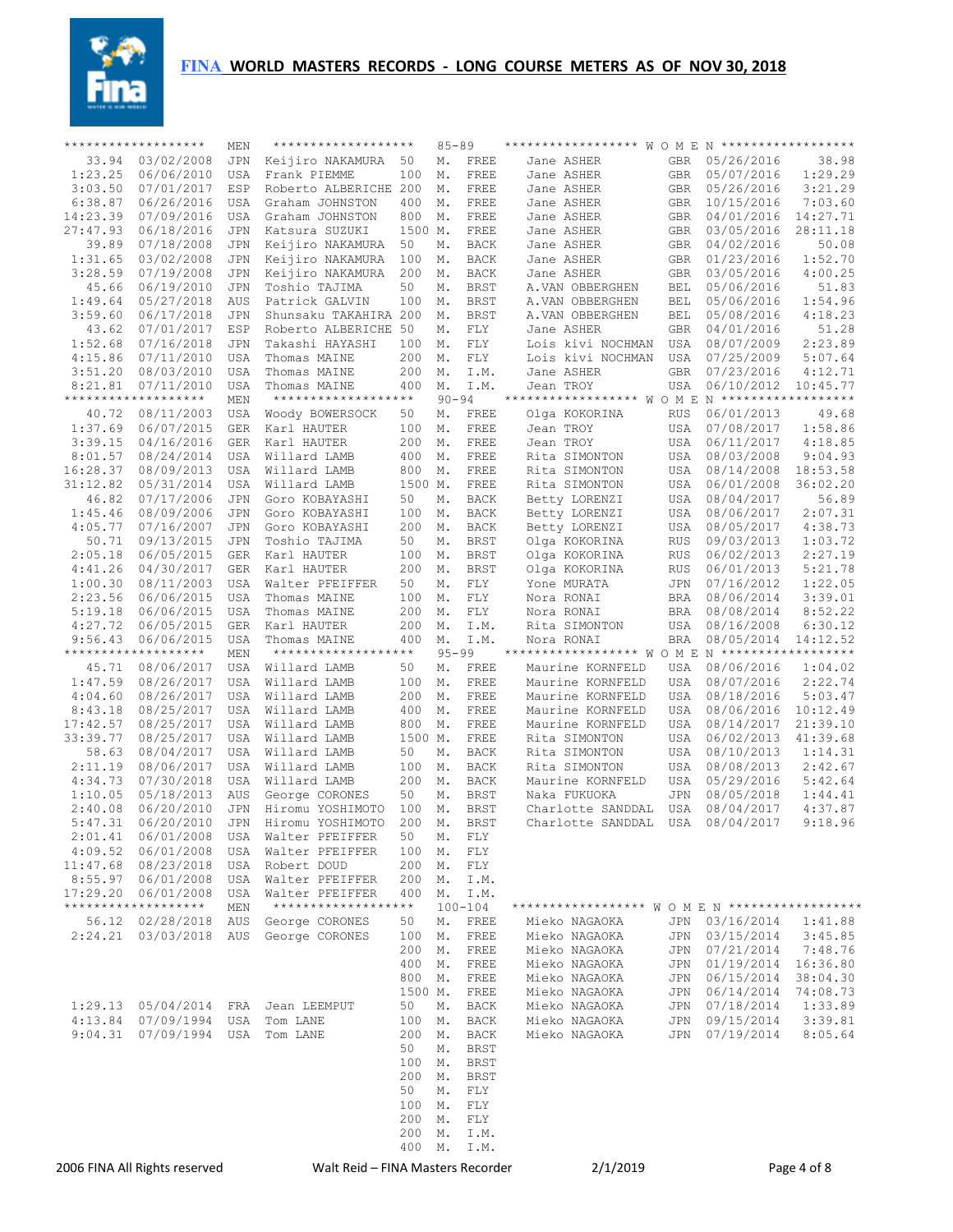

|                      | *******************           | MEN        | *******************               |         | $85 - 89$ |             | ****************** W O M E N ******************* |            |                         |             |
|----------------------|-------------------------------|------------|-----------------------------------|---------|-----------|-------------|--------------------------------------------------|------------|-------------------------|-------------|
| 33.94                | 03/02/2008                    | JPN        | Keijiro NAKAMURA                  | 50      | М.        | FREE        | Jane ASHER                                       | <b>GBR</b> | 05/26/2016              | 38.98       |
| 1:23.25              | 06/06/2010                    | <b>USA</b> | Frank PIEMME                      | 100     | М.        | FREE        | Jane ASHER                                       | <b>GBR</b> | 05/07/2016              | 1:29.29     |
| 3:03.50              | 07/01/2017                    | ESP        | Roberto ALBERICHE 200             |         | М.        | FREE        | Jane ASHER                                       | <b>GBR</b> | 05/26/2016              | 3:21.29     |
| 6:38.87              | 06/26/2016                    | USA        | Graham JOHNSTON                   | 400     | М.        | FREE        | Jane ASHER                                       | <b>GBR</b> | 10/15/2016              | 7:03.60     |
| 14:23.39             | 07/09/2016                    | USA        | Graham JOHNSTON                   | 800     | М.        | FREE        | Jane ASHER                                       | <b>GBR</b> | 04/01/2016              | 14:27.71    |
| 27:47.93             | 06/18/2016                    | JPN        | Katsura SUZUKI                    | 1500 M. |           | FREE        | Jane ASHER                                       | GBR        | 03/05/2016              | 28:11.18    |
| 39.89                | 07/18/2008                    | JPN        | Keijiro NAKAMURA                  | 50      | Μ.        | <b>BACK</b> | Jane ASHER                                       | GBR        | 04/02/2016              | 50.08       |
| 1:31.65              | 03/02/2008                    | JPN        | Keijiro NAKAMURA                  | 100     | М.        | BACK        | Jane ASHER                                       | GBR        | 01/23/2016              | 1:52.70     |
| 3:28.59              | 07/19/2008                    | JPN        | Keijiro NAKAMURA                  | 200     | М.        | BACK        | Jane ASHER                                       | GBR        | 03/05/2016              | 4:00.25     |
| 45.66                | 06/19/2010                    | JPN        | Toshio TAJIMA                     | 50      | Μ.        | BRST        | A.VAN OBBERGHEN                                  | BEL        | 05/06/2016              | 51.83       |
| 1:49.64              | 05/27/2018                    | AUS        | Patrick GALVIN                    | 100     | М.        | BRST        | A.VAN OBBERGHEN                                  | <b>BEL</b> | 05/06/2016              | 1:54.96     |
| 3:59.60              | 06/17/2018                    | JPN        | Shunsaku TAKAHIRA 200             |         | М.        | <b>BRST</b> | A.VAN OBBERGHEN                                  | BEL        | 05/08/2016              | 4:18.23     |
| 43.62                | 07/01/2017                    | ESP        | Roberto ALBERICHE 50              |         | Μ.        | FLY         | Jane ASHER                                       | <b>GBR</b> | 04/01/2016              | 51.28       |
| 1:52.68              | 07/16/2018                    | JPN        | Takashi HAYASHI                   | 100     | М.        | FLY         | Lois kivi NOCHMAN                                | USA        | 08/07/2009              | 2:23.89     |
| 4:15.86              | 07/11/2010                    | <b>USA</b> | Thomas MAINE                      | 200     | М.        | FLY         | Lois kivi NOCHMAN                                | USA        | 07/25/2009              | 5:07.64     |
| 3:51.20              | 08/03/2010                    | USA        | Thomas MAINE                      | 200     | М.        | I.M.        | Jane ASHER                                       | GBR        | 07/23/2016              | 4:12.71     |
| 8:21.81              | 07/11/2010                    | USA        | Thomas MAINE                      | 400     | М.        | I.M.        | Jean TROY                                        | USA        | 06/10/2012              | 10:45.77    |
|                      | *******************           | MEN        | *******************               |         | $90 - 94$ |             | ****************** WOME                          |            | N ******************    |             |
| 40.72                | 08/11/2003                    | USA        | Woody BOWERSOCK                   | 50      | Μ.        | FREE        | Olga KOKORINA                                    | RUS        | 06/01/2013              | 49.68       |
| 1:37.69              | 06/07/2015                    | GER        | Karl HAUTER                       | 100     | М.        | FREE        | Jean TROY                                        | <b>USA</b> | 07/08/2017              | 1:58.86     |
| 3:39.15              | 04/16/2016                    | <b>GER</b> | Karl HAUTER                       | 200     | М.        | FREE        | Jean TROY                                        | <b>USA</b> | 06/11/2017              | 4:18.85     |
| 8:01.57              | 08/24/2014                    | USA        | Willard LAMB                      | 400     | М.        | FREE        | Rita SIMONTON                                    | <b>USA</b> | 08/03/2008              | 9:04.93     |
|                      |                               | <b>USA</b> | Willard LAMB                      |         |           |             | Rita SIMONTON                                    | <b>USA</b> |                         |             |
| 16:28.37<br>31:12.82 | 08/09/2013                    |            | Willard LAMB                      | 800     | М.        | FREE        |                                                  |            | 08/14/2008              | 18:53.58    |
|                      | 05/31/2014                    | <b>USA</b> |                                   | 1500 M. |           | FREE        | Rita SIMONTON                                    | USA        | 06/01/2008              | 36:02.20    |
| 46.82                | 07/17/2006                    | JPN        | Goro KOBAYASHI                    | 50      | Μ.        | <b>BACK</b> | Betty LORENZI                                    | USA        | 08/04/2017              | 56.89       |
| 1:45.46              | 08/09/2006                    | JPN        | Goro KOBAYASHI                    | 100     | М.        | <b>BACK</b> | Betty LORENZI                                    | USA        | 08/06/2017              | 2:07.31     |
| 4:05.77              | 07/16/2007                    | JPN        | Goro KOBAYASHI                    | 200     | М.        | BACK        | Betty LORENZI                                    | USA        | 08/05/2017              | 4:38.73     |
| 50.71                | 09/13/2015                    | JPN        | Toshio TAJIMA                     | 50      | Μ.        | <b>BRST</b> | Olga KOKORINA                                    | RUS        | 09/03/2013              | 1:03.72     |
| 2:05.18              | 06/05/2015                    | GER        | Karl HAUTER                       | 100     | М.        | BRST        | Olga KOKORINA                                    | RUS        | 06/02/2013              | 2:27.19     |
| 4:41.26              | 04/30/2017                    | GER        | Karl HAUTER                       | 200     | М.        | <b>BRST</b> | Olga KOKORINA                                    | RUS        | 06/01/2013              | 5:21.78     |
| 1:00.30              | 08/11/2003                    | USA        | Walter PFEIFFER                   | 50      | Μ.        | FLY         | Yone MURATA                                      | JPN        | 07/16/2012              | 1:22.05     |
| 2:23.56              | 06/06/2015                    | USA        | Thomas MAINE                      | 100     | М.        | FLY         | Nora RONAI                                       | BRA        | 08/06/2014              | 3:39.01     |
| 5:19.18              | 06/06/2015                    | USA        | Thomas MAINE                      | 200     | М.        | FLY         | Nora RONAI                                       | BRA        | 08/08/2014              | 8:52.22     |
| 4:27.72              | 06/05/2015                    | GER        | Karl HAUTER                       | 200     | М.        | I.M.        | Rita SIMONTON                                    | USA        | 08/16/2008              | 6:30.12     |
| 9:56.43              | 06/06/2015                    | USA        | Thomas MAINE                      | 400     | М.        | I.M.        | Nora RONAI                                       | BRA        | 08/05/2014              | 14:12.52    |
|                      | *******************           | MEN        | *******************               |         | $95 - 99$ |             | ****************** WOME                          |            | $N$ ******************* |             |
| 45.71                | 08/06/2017                    | USA        | Willard LAMB                      | 50      | Μ.        | FREE        | Maurine KORNFELD                                 | USA        | 08/06/2016              | 1:04.02     |
| 1:47.59              | 08/26/2017                    | USA        | Willard LAMB                      | 100     | М.        | FREE        | Maurine KORNFELD                                 | USA        | 08/07/2016              | 2:22.74     |
| 4:04.60              | 08/26/2017                    | USA        | Willard LAMB                      | 200     | М.        | FREE        | Maurine KORNFELD                                 | USA        | 08/18/2016              | 5:03.47     |
| 8:43.18              | 08/25/2017                    | USA        | Willard LAMB                      | 400     | М.        | FREE        | Maurine KORNFELD                                 | USA        | 08/06/2016              | 10:12.49    |
| 17:42.57             | 08/25/2017                    | USA        | Willard LAMB                      | 800     | М.        | FREE        | Maurine KORNFELD                                 | USA        | 08/14/2017              | 21:39.10    |
| 33:39.77             | 08/25/2017                    | USA        | Willard LAMB                      | 1500 M. |           | FREE        | Rita SIMONTON                                    | USA        | 06/02/2013              | 41:39.68    |
| 58.63                | 08/04/2017                    | <b>USA</b> | Willard LAMB                      | 50      | М.        | <b>BACK</b> | Rita SIMONTON                                    | <b>USA</b> | 08/10/2013              | 1:14.31     |
| 2:11.19              | 08/06/2017                    | USA        | Willard LAMB                      | 100     | М.        | <b>BACK</b> | Rita SIMONTON                                    | USA        | 08/08/2013              | 2:42.67     |
| 4:34.73              | 07/30/2018                    | <b>USA</b> | Willard LAMB                      | 200     | М.        | <b>BACK</b> | Maurine KORNFELD                                 | USA        | 05/29/2016              | 5:42.64     |
| 1:10.05              | 05/18/2013                    | AUS        | George CORONES                    | 50      | Μ.        | <b>BRST</b> | Naka FUKUOKA                                     | <b>JPN</b> | 08/05/2018              | 1:44.41     |
| 2:40.08              | 06/20/2010                    | JPN        | Hiromu YOSHIMOTO                  | 100     | М.        | <b>BRST</b> | Charlotte SANDDAL                                | USA        | 08/04/2017              | 4:37.87     |
| 5:47.31              | 06/20/2010                    | <b>JPN</b> | Hiromu YOSHIMOTO                  | 200     | М.        | <b>BRST</b> | Charlotte SANDDAL                                | <b>USA</b> | 08/04/2017              | 9:18.96     |
|                      | 2:01.41 06/01/2008            | USA        | Walter PFEIFFER                   | 50      | Μ.        | FLY         |                                                  |            |                         |             |
| 4:09.52              | 06/01/2008                    | USA        | Walter PFEIFFER                   | 100     | М.        | FLY         |                                                  |            |                         |             |
|                      | 11:47.68 08/23/2018           | USA        | Robert DOUD                       | 200     | М.        | FLY         |                                                  |            |                         |             |
|                      | 8:55.97 06/01/2008            | USA        | Walter PFEIFFER                   | 200     | М.        | I.M.        |                                                  |            |                         |             |
| 17:29.20             | 06/01/2008                    | USA        | Walter PFEIFFER                   | 400     | М.        | I.M.        |                                                  |            |                         |             |
|                      | *******************           | MEN        | *******************               |         |           | $100 - 104$ | ****************** W O M E N ******************* |            |                         |             |
|                      | 56.12 02/28/2018              | AUS        | George CORONES                    | 50      | Μ.        | FREE        | Mieko NAGAOKA                                    | JPN        | 03/16/2014              | 1:41.88     |
| 2:24.21              | 03/03/2018                    | AUS        | George CORONES                    | 100     | М.        | FREE        | Mieko NAGAOKA                                    | JPN        | 03/15/2014              | 3:45.85     |
|                      |                               |            |                                   | 200     | М.        | FREE        | Mieko NAGAOKA                                    | JPN        | 07/21/2014              | 7:48.76     |
|                      |                               |            |                                   | 400     | М.        | FREE        | Mieko NAGAOKA                                    | JPN        | 01/19/2014              | 16:36.80    |
|                      |                               |            |                                   | 800     | М.        | FREE        | Mieko NAGAOKA                                    | JPN        | 06/15/2014              | 38:04.30    |
|                      |                               |            |                                   | 1500 M. |           | FREE        | Mieko NAGAOKA                                    | JPN        | 06/14/2014              | 74:08.73    |
| 1:29.13              | 05/04/2014                    | FRA        | Jean LEEMPUT                      | 50      | М.        | <b>BACK</b> | Mieko NAGAOKA                                    | JPN        | 07/18/2014              | 1:33.89     |
| 4:13.84              | 07/09/1994                    | USA        | Tom LANE                          | 100     | М.        | BACK        | Mieko NAGAOKA                                    | JPN        | 09/15/2014              | 3:39.81     |
| 9:04.31              | 07/09/1994                    | USA        | Tom LANE                          | 200     | М.        | BACK        | Mieko NAGAOKA                                    | JPN        | 07/19/2014              | 8:05.64     |
|                      |                               |            |                                   | 50      | М.        | BRST        |                                                  |            |                         |             |
|                      |                               |            |                                   | 100     | М.        | BRST        |                                                  |            |                         |             |
|                      |                               |            |                                   | 200     | М.        | BRST        |                                                  |            |                         |             |
|                      |                               |            |                                   | 50      | Μ.        | FLY         |                                                  |            |                         |             |
|                      |                               |            |                                   | 100     |           |             |                                                  |            |                         |             |
|                      |                               |            |                                   | 200     | М.        | FLY         |                                                  |            |                         |             |
|                      |                               |            |                                   | 200     | М.<br>Μ.  | FLY<br>I.M. |                                                  |            |                         |             |
|                      |                               |            |                                   | 400     | М.        | I.M.        |                                                  |            |                         |             |
|                      |                               |            |                                   |         |           |             |                                                  |            |                         |             |
|                      | 2006 FINA All Rights reserved |            | Walt Reid – FINA Masters Recorder |         |           |             | 2/1/2019                                         |            |                         | Page 4 of 8 |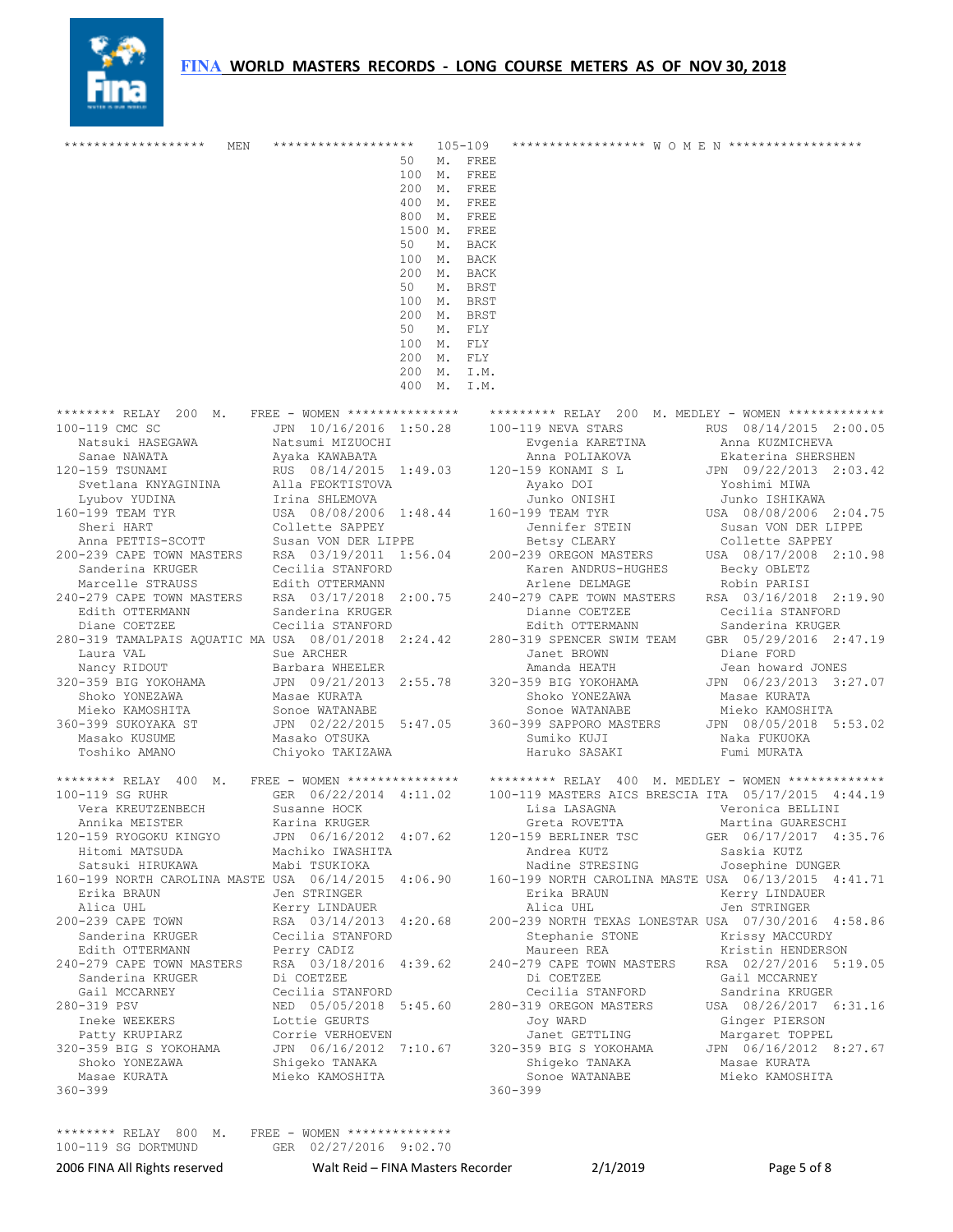

| *******************<br>MEN                                                                                                                                                                                                                                                                                                                                     | *******************                                      |            | 105-109                | ******************* M O M E N *******************                                                                                                                                                              |                              |
|----------------------------------------------------------------------------------------------------------------------------------------------------------------------------------------------------------------------------------------------------------------------------------------------------------------------------------------------------------------|----------------------------------------------------------|------------|------------------------|----------------------------------------------------------------------------------------------------------------------------------------------------------------------------------------------------------------|------------------------------|
|                                                                                                                                                                                                                                                                                                                                                                |                                                          | 50         | M. FREE                |                                                                                                                                                                                                                |                              |
|                                                                                                                                                                                                                                                                                                                                                                |                                                          |            | 100 M. FREE            |                                                                                                                                                                                                                |                              |
|                                                                                                                                                                                                                                                                                                                                                                |                                                          |            | 200 M. FREE            |                                                                                                                                                                                                                |                              |
|                                                                                                                                                                                                                                                                                                                                                                |                                                          |            | 400 M. FREE            |                                                                                                                                                                                                                |                              |
|                                                                                                                                                                                                                                                                                                                                                                |                                                          |            | 800 M. FREE            |                                                                                                                                                                                                                |                              |
|                                                                                                                                                                                                                                                                                                                                                                |                                                          |            | 1500 M. FREE           |                                                                                                                                                                                                                |                              |
|                                                                                                                                                                                                                                                                                                                                                                |                                                          | 50         | M. BACK                |                                                                                                                                                                                                                |                              |
|                                                                                                                                                                                                                                                                                                                                                                |                                                          |            | 100 M. BACK            |                                                                                                                                                                                                                |                              |
|                                                                                                                                                                                                                                                                                                                                                                |                                                          |            | 200 M. BACK            |                                                                                                                                                                                                                |                              |
|                                                                                                                                                                                                                                                                                                                                                                |                                                          | 50         | M. BRST<br>100 M. BRST |                                                                                                                                                                                                                |                              |
|                                                                                                                                                                                                                                                                                                                                                                |                                                          |            |                        |                                                                                                                                                                                                                |                              |
|                                                                                                                                                                                                                                                                                                                                                                |                                                          | 50         | 200 M. BRST<br>M. FLY  |                                                                                                                                                                                                                |                              |
|                                                                                                                                                                                                                                                                                                                                                                |                                                          | 100 M. FLY |                        |                                                                                                                                                                                                                |                              |
|                                                                                                                                                                                                                                                                                                                                                                |                                                          | 200 M. FLY |                        |                                                                                                                                                                                                                |                              |
|                                                                                                                                                                                                                                                                                                                                                                |                                                          |            | 200 M. I.M.            |                                                                                                                                                                                                                |                              |
|                                                                                                                                                                                                                                                                                                                                                                |                                                          |            | 400 M. I.M.            |                                                                                                                                                                                                                |                              |
|                                                                                                                                                                                                                                                                                                                                                                |                                                          |            |                        |                                                                                                                                                                                                                |                              |
| ******** RELAY 200 M. FREE - WOMEN ************** ********* RELAY 200 M. MEDLEY - WOMEN ************<br>0-159 TSUNAMI<br>Matsumi MIZUOCHI<br>Natsumi MIZUOCHI<br>Ayaka KAWABATA<br>Natsumi MIZUOCHI<br>Ayaka KAWABATA<br>Natsumi MIZUOCHI<br>Ayaka KAWABATA<br>Matsumi MIZUOCHI<br>Matsumi MIZUOCHI<br>Matsumi MIZUOCHI<br>Matsumi MIZUOCHI<br>Matsumi Evgenia |                                                          |            |                        |                                                                                                                                                                                                                |                              |
| 100-119 CMC SC                                                                                                                                                                                                                                                                                                                                                 |                                                          |            |                        | JPN 10/16/2016 1:50.28 100-119 NEVA STARS                                                                                                                                                                      | RUS 08/14/2015 2:00.05       |
|                                                                                                                                                                                                                                                                                                                                                                |                                                          |            |                        | Evgenia KARETINA                                                                                                                                                                                               | Anna KUZMICHEVA              |
|                                                                                                                                                                                                                                                                                                                                                                |                                                          |            |                        |                                                                                                                                                                                                                | Ekaterina SHERSHEN           |
| 120-159 TSUNAMI                                                                                                                                                                                                                                                                                                                                                |                                                          |            |                        |                                                                                                                                                                                                                | JPN 09/22/2013 2:03.42       |
|                                                                                                                                                                                                                                                                                                                                                                |                                                          |            |                        |                                                                                                                                                                                                                | Yoshimi MIWA                 |
|                                                                                                                                                                                                                                                                                                                                                                |                                                          |            |                        |                                                                                                                                                                                                                | Junko ISHIKAWA               |
| 160-199 TEAM TYR                                                                                                                                                                                                                                                                                                                                               |                                                          |            |                        |                                                                                                                                                                                                                | USA 08/08/2006 2:04.75       |
|                                                                                                                                                                                                                                                                                                                                                                |                                                          |            |                        | Jennifer STEIN                                                                                                                                                                                                 | Susan VON DER LIPPE          |
| Anna PETTIS-SCOTT Susan VON DER LIPPE Betsy CLEARY Collette SAPPEY<br>200-239 CAPE TOWN MASTERS RSA 03/19/2011 1:56.04 200-239 OREGON MASTERS USA 08/17/2008 2:10.98                                                                                                                                                                                           |                                                          |            |                        | Betsy CLEARY                                                                                                                                                                                                   |                              |
|                                                                                                                                                                                                                                                                                                                                                                |                                                          |            |                        |                                                                                                                                                                                                                |                              |
| Sanderina KRUGER                                                                                                                                                                                                                                                                                                                                               |                                                          |            |                        | Karen ANDRUS-HUGHES                                                                                                                                                                                            | Becky OBLETZ<br>Robin PARISI |
| Marcelle STRAUSS                                                                                                                                                                                                                                                                                                                                               | Cecilia STANFORD<br>Edith OTTERMANN                      |            |                        | Arlene DELMAGE                                                                                                                                                                                                 |                              |
| 240-279 CAPE TOWN MASTERS RSA 03/17/2018 2:00.75 240-279 CAPE TOWN MASTERS RSA 03/16/2018 2:19.90                                                                                                                                                                                                                                                              |                                                          |            |                        |                                                                                                                                                                                                                |                              |
| Edith OTTERMANN                                                                                                                                                                                                                                                                                                                                                | Sanderina KRUGER                                         |            |                        | Dianne COETZEE                                                                                                                                                                                                 | Cecilia STANFORD             |
| Diane COETZEE<br>Diane COETZEE Cecilia STANFORD Edith OTTERMANN Sanderina KRUGER<br>280-319 TAMALPAIS AQUATIC MA USA 08/01/2018 2:24.42 280-319 SPENCER SWIM TEAM GBR 05/29/2016 2:47.19                                                                                                                                                                       | Januerina KRUGER<br>Cecilia STANFORD<br>USA - 08/01/2012 |            |                        | Edith OTTERMANN Sanderina KRUGER                                                                                                                                                                               |                              |
|                                                                                                                                                                                                                                                                                                                                                                |                                                          |            |                        |                                                                                                                                                                                                                |                              |
|                                                                                                                                                                                                                                                                                                                                                                |                                                          |            |                        | Janet BROWN                                                                                                                                                                                                    | Diane FORD                   |
| Comparison of the Maria VAL Sue ARCHER<br>Mancy RIDOUT Barbara WHEELER<br>320–359 BIG YOKOHAMA JPN 09/21/2013 2:55.78 320–359 BIG YOKOHAMA<br>Shoko YONEZAWA Masae KURATA Shoko YONEZAWA<br>Shoko YONEZAWA Masae KURATA Shoko YONEZAWA                                                                                                                         |                                                          |            |                        |                                                                                                                                                                                                                | Jean howard JONES            |
|                                                                                                                                                                                                                                                                                                                                                                |                                                          |            |                        |                                                                                                                                                                                                                | JPN 06/23/2013 3:27.07       |
|                                                                                                                                                                                                                                                                                                                                                                |                                                          |            |                        |                                                                                                                                                                                                                | Masae KURATA                 |
| Mieko KAMOSHITA                                                                                                                                                                                                                                                                                                                                                |                                                          |            |                        |                                                                                                                                                                                                                |                              |
| 360-399 SUKOYAKA ST                                                                                                                                                                                                                                                                                                                                            |                                                          |            |                        |                                                                                                                                                                                                                |                              |
| Masako KUSUME                                                                                                                                                                                                                                                                                                                                                  |                                                          |            |                        | Sonoe WATANABE Sonoe WATANABE Mieko KAMOSHITA<br>JPN 02/22/2015 5:47.05 360-399 SAPPORO MASTERS JPN 08/05/2018 5:53.02<br>Masako OTSUKA Sumiko KUJI Naka FUKUOKA<br>Chiyoko TAKIZAWA Haruko SASAKI Fumi MURATA |                              |
| Toshiko AMANO                                                                                                                                                                                                                                                                                                                                                  | Chiyoko TAKIZAWA                                         |            |                        |                                                                                                                                                                                                                | Fumi MURATA                  |
| ******** RELAY 400 M. FREE - WOMEN ************** ********* RELAY 400 M. MEDLEY - WOMEN ************                                                                                                                                                                                                                                                           |                                                          |            |                        |                                                                                                                                                                                                                |                              |
| 100-119 SG RUHR                                                                                                                                                                                                                                                                                                                                                |                                                          |            |                        | GER 06/22/2014 4:11.02 100-119 MASTERS AICS BRESCIA ITA 05/17/2015 4:44.19                                                                                                                                     |                              |
| Vera KREUTZENBECH                                                                                                                                                                                                                                                                                                                                              | Susanne HOCK                                             |            |                        |                                                                                                                                                                                                                |                              |
| Annika MEISTER                                                                                                                                                                                                                                                                                                                                                 | Karina KRUGER                                            |            |                        | Greta ROVETTA                                                                                                                                                                                                  | Martina GUARESCHI            |
| 120-159 RYOGOKU KINGYO                                                                                                                                                                                                                                                                                                                                         |                                                          |            |                        | JPN 06/16/2012 4:07.62 120-159 BERLINER TSC                                                                                                                                                                    | GER 06/17/2017 4:35.76       |
| Hitomi MATSUDA                                                                                                                                                                                                                                                                                                                                                 | Machiko IWASHITA                                         |            |                        | Andrea KUTZ                                                                                                                                                                                                    | Saskia KUTZ                  |
| Satsuki HIRUKAWA                                                                                                                                                                                                                                                                                                                                               | Mabi TSUKIOKA                                            |            |                        | Nadine STRESING                                                                                                                                                                                                | Josephine DUNGER             |
| 160-199 NORTH CAROLINA MASTE USA 06/14/2015 4:06.90 160-199 NORTH CAROLINA MASTE USA 06/13/2015 4:41.71                                                                                                                                                                                                                                                        |                                                          |            |                        |                                                                                                                                                                                                                |                              |
| Erika BRAUN                                                                                                                                                                                                                                                                                                                                                    | Jen STRINGER                                             |            |                        | Erika BRAUN                                                                                                                                                                                                    | Kerry LINDAUER               |
| Alica UHL                                                                                                                                                                                                                                                                                                                                                      | Kerry LINDAUER                                           |            |                        | Alica UHL                                                                                                                                                                                                      | Jen STRINGER                 |
| 200-239 CAPE TOWN                                                                                                                                                                                                                                                                                                                                              | RSA 03/14/2013 4:20.68                                   |            |                        | 200-239 NORTH TEXAS LONESTAR USA 07/30/2016 4:58.86                                                                                                                                                            |                              |
| Sanderina KRUGER                                                                                                                                                                                                                                                                                                                                               | Cecilia STANFORD                                         |            |                        | Stephanie STONE                                                                                                                                                                                                | Krissy MACCURDY              |
| Edith OTTERMANN                                                                                                                                                                                                                                                                                                                                                | Perry CADIZ                                              |            |                        | Maureen REA                                                                                                                                                                                                    | Kristin HENDERSON            |
| 240-279 CAPE TOWN MASTERS                                                                                                                                                                                                                                                                                                                                      | RSA 03/18/2016 4:39.62                                   |            |                        | 240-279 CAPE TOWN MASTERS RSA 02/27/2016 5:19.05                                                                                                                                                               |                              |
| Sanderina KRUGER                                                                                                                                                                                                                                                                                                                                               | Di COETZEE                                               |            |                        | Di COETZEE                                                                                                                                                                                                     | Gail MCCARNEY                |
| Gail MCCARNEY                                                                                                                                                                                                                                                                                                                                                  | Cecilia STANFORD                                         |            |                        | Cecilia STANFORD                                                                                                                                                                                               | Sandrina KRUGER              |
| 280-319 PSV                                                                                                                                                                                                                                                                                                                                                    | NED 05/05/2018 5:45.60                                   |            |                        | 280-319 OREGON MASTERS                                                                                                                                                                                         | USA 08/26/2017 6:31.16       |
| Ineke WEEKERS                                                                                                                                                                                                                                                                                                                                                  | Lottie GEURTS                                            |            |                        | Joy WARD                                                                                                                                                                                                       | Ginger PIERSON               |
| Patty KRUPIARZ                                                                                                                                                                                                                                                                                                                                                 | Corrie VERHOEVEN                                         |            |                        | Janet GETTLING                                                                                                                                                                                                 | Margaret TOPPEL              |
| 320-359 BIG S YOKOHAMA                                                                                                                                                                                                                                                                                                                                         |                                                          |            |                        | JPN 06/16/2012 7:10.67 320-359 BIG S YOKOHAMA JPN 06/16/2012 8:27.67                                                                                                                                           |                              |
| Shoko YONEZAWA                                                                                                                                                                                                                                                                                                                                                 | Shiqeko TANAKA                                           |            |                        | Shigeko TANAKA                                                                                                                                                                                                 | Masae KURATA                 |
| Masae KURATA                                                                                                                                                                                                                                                                                                                                                   | Mieko KAMOSHITA                                          |            |                        | Sonoe WATANABE Mieko KAMOSHITA                                                                                                                                                                                 |                              |
| $360 - 399$                                                                                                                                                                                                                                                                                                                                                    |                                                          |            |                        | $360 - 399$                                                                                                                                                                                                    |                              |
|                                                                                                                                                                                                                                                                                                                                                                |                                                          |            |                        |                                                                                                                                                                                                                |                              |

\*\*\*\*\*\*\*\* RELAY 800 M. FREE - WOMEN \*\*\*\*\*\*\*\*\*\*\*\*\*\* 100-119 SG DORTMUND GER 02/27/2016 9:02.70

2006 FINA All Rights reserved **Walt Reid – FINA Masters Recorder** 2/1/2019 Page 5 of 8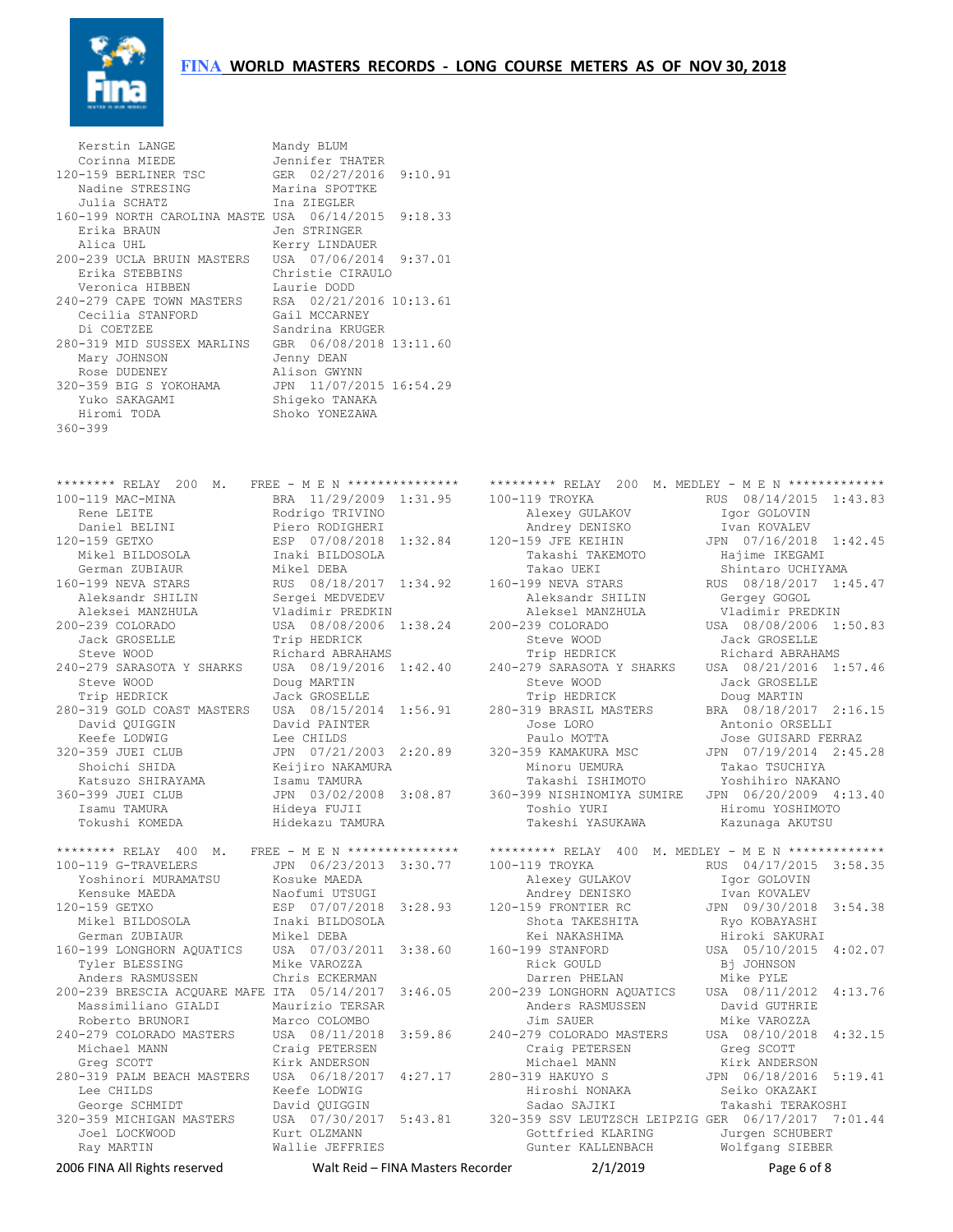

| Kerstin LANGE                                                           | Mandy BLUM                                |                                                     |                                            |
|-------------------------------------------------------------------------|-------------------------------------------|-----------------------------------------------------|--------------------------------------------|
| Corinna MIEDE                                                           | Jennifer THATER                           |                                                     |                                            |
| 120-159 BERLINER TSC                                                    | GER 02/27/2016 9:10.91                    |                                                     |                                            |
| Nadine STRESING<br>Julia SCHATZ                                         | Marina SPOTTKE<br>Ina ZIEGLER             |                                                     |                                            |
| 160-199 NORTH CAROLINA MASTE USA 06/14/2015 9:18.33                     |                                           |                                                     |                                            |
| Erika BRAUN                                                             | Jen STRINGER                              |                                                     |                                            |
| Alica UHL                                                               | Kerry LINDAUER                            |                                                     |                                            |
| 200-239 UCLA BRUIN MASTERS                                              | USA 07/06/2014 9:37.01                    |                                                     |                                            |
| Erika STEBBINS                                                          | Christie CIRAULO                          |                                                     |                                            |
| Veronica HIBBEN<br>240-279 CAPE TOWN MASTERS                            | Laurie DODD<br>RSA 02/21/2016 10:13.61    |                                                     |                                            |
| Cecilia STANFORD                                                        | Gail MCCARNEY                             |                                                     |                                            |
| Di COETZEE                                                              | Sandrina KRUGER                           |                                                     |                                            |
| 280-319 MID SUSSEX MARLINS                                              | GBR 06/08/2018 13:11.60                   |                                                     |                                            |
| Mary JOHNSON                                                            | Jenny DEAN                                |                                                     |                                            |
| Rose DUDENEY                                                            | Alison GWYNN                              |                                                     |                                            |
| 320-359 BIG S YOKOHAMA<br>Yuko SAKAGAMI                                 | JPN 11/07/2015 16:54.29<br>Shiqeko TANAKA |                                                     |                                            |
| Hiromi TODA                                                             | Shoko YONEZAWA                            |                                                     |                                            |
| $360 - 399$                                                             |                                           |                                                     |                                            |
|                                                                         |                                           |                                                     |                                            |
|                                                                         |                                           |                                                     |                                            |
| ******** RELAY 200 M.                                                   | FREE - M E N ****************             | ********* RELAY 200 M. MEDLEY - M E N ************* |                                            |
| 100-119 MAC-MINA                                                        | BRA 11/29/2009 1:31.95                    | 100-119 TROYKA                                      | RUS 08/14/2015 1:43.83                     |
| Rene LEITE                                                              | Rodrigo TRIVINO                           | Alexey GULAKOV                                      | Igor GOLOVIN                               |
| Daniel BELINI                                                           | Piero RODIGHERI                           | Andrey DENISKO                                      | Ivan KOVALEV                               |
| 120-159 GETXO                                                           | ESP 07/08/2018 1:32.84                    | 120-159 JFE KEIHIN                                  | JPN 07/16/2018 1:42.45                     |
| Mikel BILDOSOLA                                                         | Inaki BILDOSOLA                           | Takashi TAKEMOTO                                    | Hajime IKEGAMI                             |
| German ZUBIAUR                                                          | Mikel DEBA                                | Takao UEKI                                          | Shintaro UCHIYAMA                          |
| 160-199 NEVA STARS<br>Aleksandr SHILIN                                  | RUS 08/18/2017 1:34.92<br>Sergei MEDVEDEV | 160-199 NEVA STARS<br>Aleksandr SHILIN              | RUS 08/18/2017 1:45.47<br>Gergey GOGOL     |
| Aleksei MANZHULA                                                        | Vladimir PREDKIN                          | Aleksel MANZHULA                                    | Vladimir PREDKIN                           |
| 200-239 COLORADO                                                        | USA 08/08/2006 1:38.24                    | 200-239 COLORADO                                    | USA 08/08/2006 1:50.83                     |
| Jack GROSELLE                                                           | Trip HEDRICK                              | Steve WOOD                                          | Jack GROSELLE                              |
| Steve WOOD                                                              | Richard ABRAHAMS                          | Trip HEDRICK                                        | Richard ABRAHAMS                           |
| 240-279 SARASOTA Y SHARKS                                               | USA 08/19/2016 1:42.40                    | 240-279 SARASOTA Y SHARKS                           | USA 08/21/2016 1:57.46                     |
| Steve WOOD<br>Trip HEDRICK                                              | Doug MARTIN<br>Jack GROSELLE              | Steve WOOD<br>Trip HEDRICK                          | Jack GROSELLE<br>Doug MARTIN               |
| 280-319 GOLD COAST MASTERS                                              | USA 08/15/2014 1:56.91                    | 280-319 BRASIL MASTERS                              | BRA 08/18/2017 2:16.15                     |
| David QUIGGIN                                                           | David PAINTER                             | Jose LORO                                           | Antonio ORSELLI                            |
| Keefe LODWIG                                                            | Lee CHILDS                                | Paulo MOTTA                                         | Jose GUISARD FERRAZ                        |
| 320-359 JUEI CLUB                                                       | JPN 07/21/2003 2:20.89                    | 320-359 KAMAKURA MSC                                | JPN 07/19/2014 2:45.28                     |
| Shoichi SHIDA                                                           | Keijiro NAKAMURA                          | Minoru UEMURA                                       | Takao TSUCHIYA                             |
| Katsuzo SHIRAYAMA<br>360-399 JUEI CLUB                                  | Isamu TAMURA<br>JPN 03/02/2008 3:08.87    | Takashi ISHIMOTO<br>360-399 NISHINOMIYA SUMIRE      | Yoshihiro NAKANO<br>JPN 06/20/2009 4:13.40 |
| Isamu TAMURA                                                            | Hideya FUJII                              | Toshio YURI                                         | Hiromu YOSHIMOTO                           |
| Tokushi KOMEDA                                                          | Hidekazu TAMURA                           | Takeshi YASUKAWA                                    | Kazunaga AKUTSU                            |
|                                                                         |                                           |                                                     |                                            |
| ******** RELAY 400 M.                                                   | FREE - M E N ****************             | ********* RELAY 400 M. MEDLEY - M E N ************* |                                            |
| 100-119 G-TRAVELERS                                                     | JPN 06/23/2013 3:30.77                    | 100-119 TROYKA                                      | RUS 04/17/2015 3:58.35                     |
| Yoshinori MURAMATSU<br>Kensuke MAEDA                                    | Kosuke MAEDA<br>Naofumi UTSUGI            | Alexey GULAKOV<br>Andrey DENISKO                    | Igor GOLOVIN<br>Ivan KOVALEV               |
| 120-159 GETXO                                                           | ESP 07/07/2018 3:28.93                    | 120-159 FRONTIER RC                                 | JPN 09/30/2018 3:54.38                     |
| Mikel BILDOSOLA                                                         | Inaki BILDOSOLA                           | Shota TAKESHITA                                     | Ryo KOBAYASHI                              |
| German ZUBIAUR                                                          | Mikel DEBA                                | Kei NAKASHIMA                                       | Hiroki SAKURAI                             |
| 160-199 LONGHORN AQUATICS                                               | USA 07/03/2011 3:38.60                    | 160-199 STANFORD                                    | USA 05/10/2015 4:02.07                     |
| Tyler BLESSING                                                          | Mike VAROZZA                              | Rick GOULD                                          | Bj JOHNSON                                 |
| Anders RASMUSSEN<br>200-239 BRESCIA ACQUARE MAFE ITA 05/14/2017 3:46.05 | Chris ECKERMAN                            | Darren PHELAN<br>200-239 LONGHORN AQUATICS          | Mike PYLE<br>USA 08/11/2012 4:13.76        |
| Massimiliano GIALDI                                                     | Maurizio TERSAR                           | Anders RASMUSSEN                                    | David GUTHRIE                              |
| Roberto BRUNORI                                                         | Marco COLOMBO                             | Jim SAUER                                           | Mike VAROZZA                               |
| 240-279 COLORADO MASTERS                                                | USA 08/11/2018 3:59.86                    | 240-279 COLORADO MASTERS                            | USA 08/10/2018 4:32.15                     |
| Michael MANN                                                            | Craig PETERSEN                            | Craig PETERSEN                                      | Greg SCOTT                                 |
| Greg SCOTT                                                              | Kirk ANDERSON                             | Michael MANN                                        | Kirk ANDERSON                              |
| 280-319 PALM BEACH MASTERS<br>Lee CHILDS                                | USA 06/18/2017 4:27.17                    | 280-319 HAKUYO S<br>Hiroshi NONAKA                  | JPN 06/18/2016 5:19.41<br>Seiko OKAZAKI    |
| George SCHMIDT                                                          | Keefe LODWIG<br>David QUIGGIN             | Sadao SAJIKI                                        | Takashi TERAKOSHI                          |
| 320-359 MICHIGAN MASTERS                                                | USA 07/30/2017 5:43.81                    | 320-359 SSV LEUTZSCH LEIPZIG GER 06/17/2017 7:01.44 |                                            |
| Joel LOCKWOOD                                                           | Kurt OLZMANN                              | Gottfried KLARING                                   | Jurgen SCHUBERT                            |
| Ray MARTIN                                                              | Wallie JEFFRIES                           | Gunter KALLENBACH                                   | Wolfgang SIEBER                            |
| 2006 FINA All Rights reserved                                           | Walt Reid – FINA Masters Recorder         | 2/1/2019                                            | Page 6 of 8                                |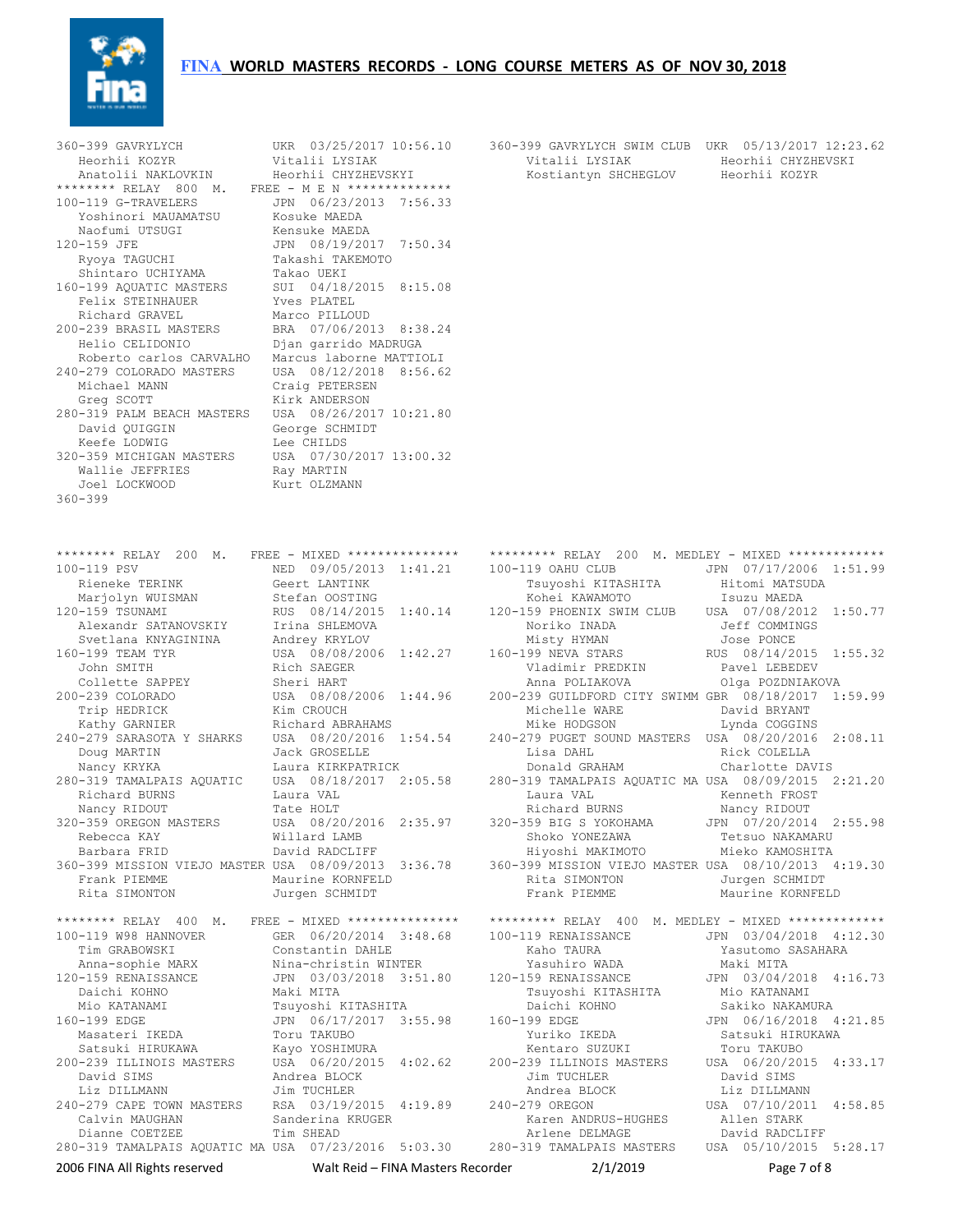## **FINA** WORLD MASTERS RECORDS - LONG COURSE METERS AS OF NOV 30, 2018



| 360-399 GAVRYLYCH                                                        | UKR 03/25/2017 10:56.10                                                                                                    | 360-399 GAVRYLYCH SWIM CLUB UKR 05/13/2017 12:23.62                                                                                                         |                               |
|--------------------------------------------------------------------------|----------------------------------------------------------------------------------------------------------------------------|-------------------------------------------------------------------------------------------------------------------------------------------------------------|-------------------------------|
| Heorhii KOZYR                                                            | Vitalii LYSIAK                                                                                                             | Vitalii LYSIAK                                                                                                                                              | Heorhii CHYZHEVSKI            |
| Anatolii NAKLOVKIN                                                       | Heorhii CHYZHEVSKYI                                                                                                        | Kostiantyn SHCHEGLOV                                                                                                                                        | Heorhii KOZYR                 |
| ******** RELAY 800 M. FREE - M E N **************<br>100-119 G-TRAVELERS | JPN 06/23/2013 7:56.33                                                                                                     |                                                                                                                                                             |                               |
| Yoshinori MAUAMATSU                                                      | Kosuke MAEDA                                                                                                               |                                                                                                                                                             |                               |
| Naofumi UTSUGI                                                           | Kensuke MAEDA                                                                                                              |                                                                                                                                                             |                               |
| 120-159 JFE                                                              | JPN 08/19/2017 7:50.34                                                                                                     |                                                                                                                                                             |                               |
| Ryoya TAGUCHI                                                            | Takashi TAKEMOTO                                                                                                           |                                                                                                                                                             |                               |
| Shintaro UCHIYAMA                                                        | Takao UEKI                                                                                                                 |                                                                                                                                                             |                               |
| 160-199 AQUATIC MASTERS                                                  | SUI 04/18/2015 8:15.08                                                                                                     |                                                                                                                                                             |                               |
| Felix STEINHAUER                                                         | Yves PLATEL                                                                                                                |                                                                                                                                                             |                               |
| Richard GRAVEL                                                           | Marco PILLOUD                                                                                                              |                                                                                                                                                             |                               |
| 200-239 BRASIL MASTERS                                                   | BRA 07/06/2013 8:38.24                                                                                                     |                                                                                                                                                             |                               |
| Helio CELIDONIO                                                          | Djan qarrido MADRUGA                                                                                                       |                                                                                                                                                             |                               |
| Roberto carlos CARVALHO                                                  | Marcus laborne MATTIOLI                                                                                                    |                                                                                                                                                             |                               |
| 240-279 COLORADO MASTERS<br>Michael MANN                                 | USA 08/12/2018 8:56.62                                                                                                     |                                                                                                                                                             |                               |
| Greg SCOTT                                                               | Craig PETERSEN<br>Kirk ANDERSON                                                                                            |                                                                                                                                                             |                               |
| 280-319 PALM BEACH MASTERS                                               | USA 08/26/2017 10:21.80                                                                                                    |                                                                                                                                                             |                               |
| David QUIGGIN                                                            | George SCHMIDT                                                                                                             |                                                                                                                                                             |                               |
| Keefe LODWIG                                                             | Lee CHILDS                                                                                                                 |                                                                                                                                                             |                               |
| 320-359 MICHIGAN MASTERS                                                 | USA 07/30/2017 13:00.32                                                                                                    |                                                                                                                                                             |                               |
| Wallie JEFFRIES                                                          | Ray MARTIN                                                                                                                 |                                                                                                                                                             |                               |
| Joel LOCKWOOD                                                            | Kurt OLZMANN                                                                                                               |                                                                                                                                                             |                               |
| $360 - 399$                                                              |                                                                                                                            |                                                                                                                                                             |                               |
|                                                                          |                                                                                                                            |                                                                                                                                                             |                               |
|                                                                          |                                                                                                                            |                                                                                                                                                             |                               |
|                                                                          |                                                                                                                            |                                                                                                                                                             |                               |
| ******** RELAY 200 M.                                                    |                                                                                                                            | FREE - MIXED *************** ********* RELAY 200 M. MEDLEY - MIXED *************                                                                            |                               |
| 100-119 PSV                                                              | NED 09/05/2013 1:41.21                                                                                                     | 100-119 OAHU CLUB                                                                                                                                           | JPN 07/17/2006 1:51.99        |
| Rieneke TERINK                                                           | Geert LANTINK                                                                                                              | Tsuyoshi KITASHITA<br>Kohei KAWAMOTO                                                                                                                        | Hitomi MATSUDA<br>Isuzu MAEDA |
| Marjolyn WUISMAN<br>120-159 TSUNAMI                                      | Stefan OOSTING<br>RUS 08/14/2015 1:40.14                                                                                   | 120-159 PHOENIX SWIM CLUB                                                                                                                                   | USA 07/08/2012 1:50.77        |
| Alexandr SATANOVSKIY                                                     | Irina SHLEMOVA                                                                                                             | Noriko INADA                                                                                                                                                | Jeff COMMINGS                 |
| Svetlana KNYAGININA                                                      | Andrey KRYLOV                                                                                                              | Misty HYMAN                                                                                                                                                 | Jose PONCE                    |
| 160-199 TEAM TYR                                                         | USA 08/08/2006 1:42.27                                                                                                     | 160-199 NEVA STARS                                                                                                                                          | RUS 08/14/2015 1:55.32        |
| John SMITH                                                               | Rich SAEGER                                                                                                                | Vladimir PREDKIN                                                                                                                                            | Pavel LEBEDEV                 |
| Collette SAPPEY                                                          | Sheri HART                                                                                                                 | Anna POLIAKOVA                                                                                                                                              | Olga POZDNIAKOVA              |
| 200-239 COLORADO                                                         | USA 08/08/2006 1:44.96                                                                                                     | 200-239 GUILDFORD CITY SWIMM GBR 08/18/2017 1:59.99                                                                                                         |                               |
| Trip HEDRICK                                                             | Kim CROUCH                                                                                                                 | Michelle WARE                                                                                                                                               | David BRYANT                  |
| Kathy GARNIER                                                            | Richard ABRAHAMS                                                                                                           | Mike HODGSON                                                                                                                                                | Lynda COGGINS                 |
| 240-279 SARASOTA Y SHARKS USA 08/20/2016 1:54.54                         |                                                                                                                            | 240-279 PUGET SOUND MASTERS USA 08/20/2016 2:08.11                                                                                                          |                               |
| Doug MARTIN                                                              | Jack GROSELLE                                                                                                              | Lisa DAHL                                                                                                                                                   | Rick COLELLA                  |
| Nancy KRYKA                                                              | Laura KIRKPATRICK                                                                                                          | Donald GRAHAM                                                                                                                                               | Charlotte DAVIS               |
| 280-319 TAMALPAIS AQUATIC USA 08/18/2017 2:05.58                         |                                                                                                                            | 280-319 TAMALPAIS AQUATIC MA USA 08/09/2015 2:21.20                                                                                                         |                               |
| Richard BURNS                                                            | Laura VAL                                                                                                                  | Laura VAL                                                                                                                                                   | Kenneth FROST                 |
| Nancy RIDOUT                                                             | Tate HOLT                                                                                                                  | Richard BURNS                                                                                                                                               | Nancy RIDOUT                  |
| 320-359 OREGON MASTERS                                                   | USA 08/20/2016 2:35.97                                                                                                     | 320-359 BIG S YOKOHAMA                                                                                                                                      | JPN 07/20/2014 2:55.98        |
| Rebecca KAY<br>Barbara FRID                                              | Willard LAMB<br>David RADCLIFF                                                                                             | Shoko YONEZAWA<br>Hiyoshi MAKIMOTO Mieko KAMOSHITA                                                                                                          | Tetsuo NAKAMARU               |
|                                                                          |                                                                                                                            | 360-399 MISSION VIEJO MASTER USA 08/09/2013 3:36.78 360-399 MISSION VIEJO MASTER USA 08/10/2013 4:19.30                                                     |                               |
| Frank PIEMME                                                             | Maurine KORNFELD                                                                                                           | Rita SIMONTON                                                                                                                                               | Jurgen SCHMIDT                |
| Rita SIMONTON                                                            | Jurgen SCHMIDT                                                                                                             | Frank PIEMME Maurine KORNFELD                                                                                                                               |                               |
|                                                                          |                                                                                                                            |                                                                                                                                                             |                               |
|                                                                          |                                                                                                                            | ******** RELAY 400 M. FREE - MIXED ************** ********* RELAY 400 M. MEDLEY - MIXED ************                                                        |                               |
|                                                                          |                                                                                                                            | 100-119 W98 HANNOVER GER 06/20/2014 3:48.68 100-119 RENAISSANCE JPN 03/04/2018 4:12.30<br>Tim GRABOWSKI Constantin DAHLE Kaho TAURA Kanta Yasutomo SASAHARA |                               |
|                                                                          |                                                                                                                            |                                                                                                                                                             |                               |
|                                                                          |                                                                                                                            |                                                                                                                                                             |                               |
| 120-159 RENAISSANCE                                                      |                                                                                                                            |                                                                                                                                                             |                               |
| Daichi KOHNO                                                             |                                                                                                                            |                                                                                                                                                             |                               |
| Mio KATANAMI                                                             |                                                                                                                            |                                                                                                                                                             |                               |
| 160-199 EDGE                                                             |                                                                                                                            | 199 EDGE<br>Yuriko IKEDA                                                                                                                                    | JPN 06/16/2018 4:21.85        |
| Masateri IKEDA                                                           |                                                                                                                            |                                                                                                                                                             | Satsuki HIRUKAWA              |
|                                                                          |                                                                                                                            | Example 200-239 ILLINOIS MASTERS 1984 06/20/2015 4:33.17                                                                                                    |                               |
|                                                                          |                                                                                                                            | Jim TUCHLER                                                                                                                                                 | David SIMS                    |
|                                                                          | SAtsuki HIRUKAWA<br>200-239 ILLINOIS MASTERS USA 06/20/2015 4:02.62<br>David SIMS Andrea BLOCK<br>Liz DILLMANN Jim TUCHLER | Andrea BLOCK                                                                                                                                                | Liz DILLMANN                  |
|                                                                          | 240-279 CAPE TOWN MASTERS RSA 03/19/2015 4:19.89 240-279 OREGON                                                            |                                                                                                                                                             | USA 07/10/2011 4:58.85        |
| Calvin MAUGHAN                                                           | Sanderina KRUGER                                                                                                           | Karen ANDRUS-HUGHES Allen STARK                                                                                                                             |                               |
| Dianne COETZEE                                                           | Tim SHEAD                                                                                                                  | Arlene DELMAGE                                                                                                                                              | David RADCLIFF                |
|                                                                          |                                                                                                                            | 280-319 TAMALPAIS AQUATIC MA USA 07/23/2016 5:03.30 280-319 TAMALPAIS MASTERS USA 05/10/2015 5:28.17                                                        |                               |
| 2006 FINA All Rights reserved                                            |                                                                                                                            |                                                                                                                                                             | Page 7 of 8                   |
|                                                                          |                                                                                                                            |                                                                                                                                                             |                               |